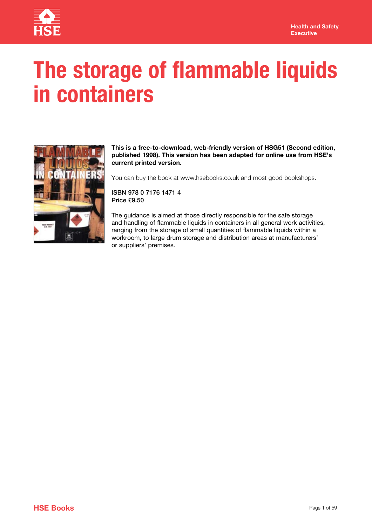

# **The storage of flammable liquids in containers**



**This is a free-to-download, web-friendly version of HSG51 (Second edition, published 1998). This version has been adapted for online use from HSE's current printed version.** 

You can buy the book at www.hsebooks.co.uk and most good bookshops.

ISBN 978 0 7176 1471 4 Price £9.50

The guidance is aimed at those directly responsible for the safe storage and handling of flammable liquids in containers in all general work activities, ranging from the storage of small quantities of flammable liquids within a workroom, to large drum storage and distribution areas at manufacturers' or suppliers' premises.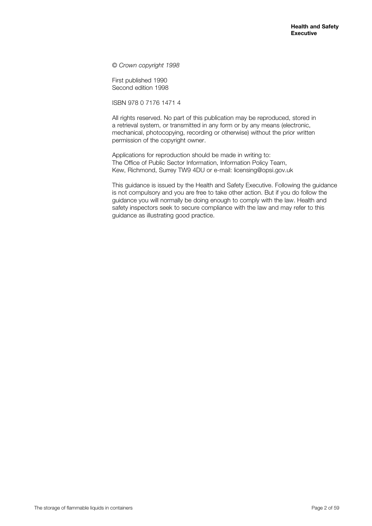*© Crown copyright 1998*

First published 1990 Second edition 1998

ISBN 978 0 7176 1471 4

All rights reserved. No part of this publication may be reproduced, stored in a retrieval system, or transmitted in any form or by any means (electronic, mechanical, photocopying, recording or otherwise) without the prior written permission of the copyright owner.

Applications for reproduction should be made in writing to: The Office of Public Sector Information, Information Policy Team, Kew, Richmond, Surrey TW9 4DU or e-mail: licensing@opsi.gov.uk

This guidance is issued by the Health and Safety Executive. Following the guidance is not compulsory and you are free to take other action. But if you do follow the guidance you will normally be doing enough to comply with the law. Health and safety inspectors seek to secure compliance with the law and may refer to this guidance as illustrating good practice.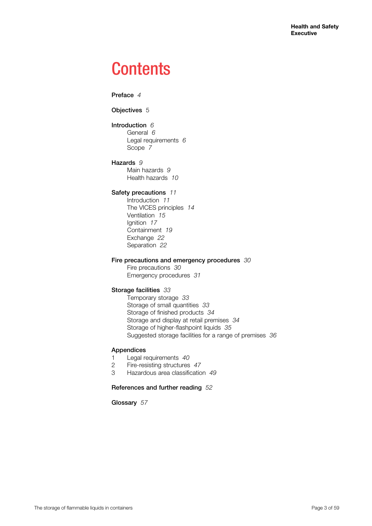## **Contents**

Preface *4*

Objectives 5

Introduction *6* General *6* Legal requirements *6* Scope *7*

Hazards *9* Main hazards *9*

Health hazards *10*

## Safety precautions *11*

Introduction *11* The VICES principles *14* Ventilation *15* Ignition *17* Containment *19* Exchange *22* Separation *22*

## Fire precautions and emergency procedures *30*

Fire precautions *30* Emergency procedures *31*

## Storage facilities *33*

Temporary storage *33* Storage of small quantities *33* Storage of finished products *34* Storage and display at retail premises *34* Storage of higher-flashpoint liquids *35* Suggested storage facilities for a range of premises *36*

## Appendices

- 1 Legal requirements *40*
- 2 Fire-resisting structures *47*
- 3 Hazardous area classification *49*

## References and further reading *52*

Glossary *57*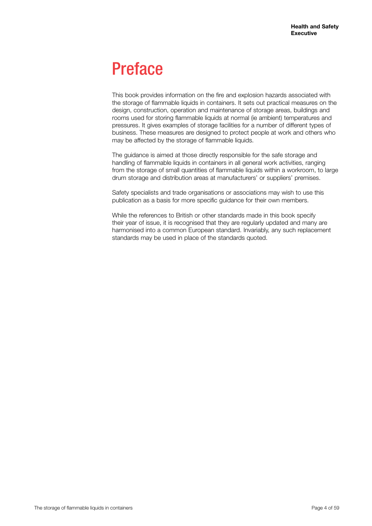## Preface

This book provides information on the fire and explosion hazards associated with the storage of flammable liquids in containers. It sets out practical measures on the design, construction, operation and maintenance of storage areas, buildings and rooms used for storing flammable liquids at normal (ie ambient) temperatures and pressures. It gives examples of storage facilities for a number of different types of business. These measures are designed to protect people at work and others who may be affected by the storage of flammable liquids.

The guidance is aimed at those directly responsible for the safe storage and handling of flammable liquids in containers in all general work activities, ranging from the storage of small quantities of flammable liquids within a workroom, to large drum storage and distribution areas at manufacturers' or suppliers' premises.

Safety specialists and trade organisations or associations may wish to use this publication as a basis for more specific guidance for their own members.

While the references to British or other standards made in this book specify their year of issue, it is recognised that they are regularly updated and many are harmonised into a common European standard. Invariably, any such replacement standards may be used in place of the standards quoted.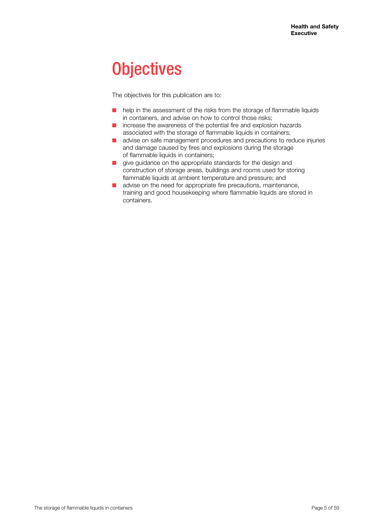## **Objectives**

The objectives for this publication are to:

- $\blacksquare$  help in the assessment of the risks from the storage of flammable liquids in containers, and advise on how to control those risks;
- $\blacksquare$  increase the awareness of the potential fire and explosion hazards associated with the storage of flammable liquids in containers;
- advise on safe management procedures and precautions to reduce injuries and damage caused by fires and explosions during the storage of flammable liquids in containers;
- $\blacksquare$  give guidance on the appropriate standards for the design and construction of storage areas, buildings and rooms used for storing flammable liquids at ambient temperature and pressure; and
- $\blacksquare$  advise on the need for appropriate fire precautions, maintenance, training and good housekeeping where flammable liquids are stored in containers.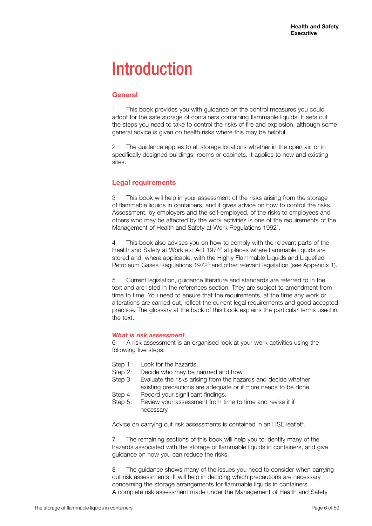## **Introduction**

## **General**

1 This book provides you with guidance on the control measures you could adopt for the safe storage of containers containing flammable liquids. It sets out the steps you need to take to control the risks of fire and explosion, although some general advice is given on health risks where this may be helpful.

2 The guidance applies to all storage locations whether in the open air, or in specifically designed buildings, rooms or cabinets. It applies to new and existing sites.

## **Legal requirements**

3 This book will help in your assessment of the risks arising from the storage of flammable liquids in containers, and it gives advice on how to control the risks. Assessment, by employers and the self-employed, of the risks to employees and others who may be affected by the work activities is one of the requirements of the Management of Health and Safety at Work Regulations 1992<sup>1</sup>.

4 This book also advises you on how to comply with the relevant parts of the Health and Safety at Work etc Act 1974<sup>2</sup> at places where flammable liquids are stored and, where applicable, with the Highly Flammable Liquids and Liquefied Petroleum Gases Regulations 1972<sup>3</sup> and other relevant legislation (see Appendix 1).

5 Current legislation, guidance literature and standards are referred to in the text and are listed in the references section. They are subject to amendment from time to time. You need to ensure that the requirements, at the time any work or alterations are carried out, reflect the current legal requirements and good accepted practice. The glossary at the back of this book explains the particular terms used in the text.

## *What is risk assessment*

6 A risk assessment is an organised look at your work activities using the following five steps:

- Step 1: Look for the hazards.
- Step 2: Decide who may be harmed and how.
- Step 3: Evaluate the risks arising from the hazards and decide whether existing precautions are adequate or if more needs to be done.
- Step 4: Record your significant findings.
- Step 5: Review your assessment from time to time and revise it if necessary.

Advice on carrying out risk assessments is contained in an HSE leaflet<sup>4</sup>.

7 The remaining sections of this book will help you to identify many of the hazards associated with the storage of flammable liquids in containers, and give guidance on how you can reduce the risks.

8 The guidance shows many of the issues you need to consider when carrying out risk assessments. It will help in deciding which precautions are necessary concerning the storage arrangements for flammable liquids in containers. A complete risk assessment made under the Management of Health and Safety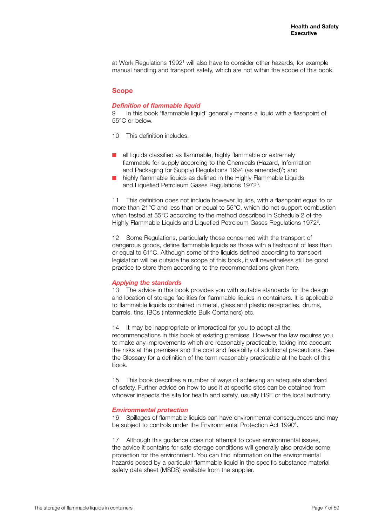at Work Regulations 1992<sup>1</sup> will also have to consider other hazards, for example manual handling and transport safety, which are not within the scope of this book.

#### **Scope**

#### *Definition of flammable liquid*

9 In this book 'flammable liquid' generally means a liquid with a flashpoint of 55°C or below.

- 10 This definition includes:
- $\blacksquare$  all liquids classified as flammable, highly flammable or extremely flammable for supply according to the Chemicals (Hazard, Information and Packaging for Supply) Regulations 1994 (as amended)<sup>5</sup>; and
- highly flammable liquids as defined in the Highly Flammable Liquids and Liquefied Petroleum Gases Regulations 1972<sup>3</sup>.

11 This definition does not include however liquids, with a flashpoint equal to or more than 21°C and less than or equal to 55°C, which do not support combustion when tested at 55°C according to the method described in Schedule 2 of the Highly Flammable Liquids and Liquefied Petroleum Gases Regulations 19723 .

12 Some Regulations, particularly those concerned with the transport of dangerous goods, define flammable liquids as those with a flashpoint of less than or equal to 61°C. Although some of the liquids defined according to transport legislation will be outside the scope of this book, it will nevertheless still be good practice to store them according to the recommendations given here.

### *Applying the standards*

13 The advice in this book provides you with suitable standards for the design and location of storage facilities for flammable liquids in containers. It is applicable to flammable liquids contained in metal, glass and plastic receptacles, drums, barrels, tins, IBCs (Intermediate Bulk Containers) etc.

14 It may be inappropriate or impractical for you to adopt all the recommendations in this book at existing premises. However the law requires you to make any improvements which are reasonably practicable, taking into account the risks at the premises and the cost and feasibility of additional precautions. See the Glossary for a definition of the term reasonably practicable at the back of this book.

15 This book describes a number of ways of achieving an adequate standard of safety. Further advice on how to use it at specific sites can be obtained from whoever inspects the site for health and safety, usually HSE or the local authority.

#### *Environmental protection*

16 Spillages of flammable liquids can have environmental consequences and may be subject to controls under the Environmental Protection Act 1990<sup>6</sup>.

17 Although this guidance does not attempt to cover environmental issues, the advice it contains for safe storage conditions will generally also provide some protection for the environment. You can find information on the environmental hazards posed by a particular flammable liquid in the specific substance material safety data sheet (MSDS) available from the supplier.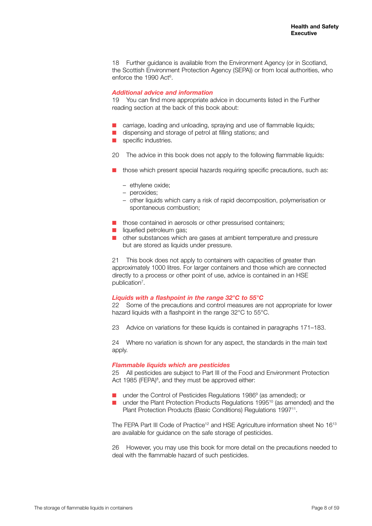18 Further guidance is available from the Environment Agency (or in Scotland, the Scottish Environment Protection Agency (SEPA)) or from local authorities, who enforce the 1990 Act<sup>6</sup>.

#### *Additional advice and information*

19 You can find more appropriate advice in documents listed in the Further reading section at the back of this book about:

- carriage, loading and unloading, spraying and use of flammable liquids;
- $\blacksquare$  dispensing and storage of petrol at filling stations; and
- $\blacksquare$  specific industries.
- 20 The advice in this book does not apply to the following flammable liquids:
- $\blacksquare$  those which present special hazards requiring specific precautions, such as:
	- ethylene oxide;
	- peroxides;
	- other liquids which carry a risk of rapid decomposition, polymerisation or spontaneous combustion;
- $\blacksquare$  those contained in aerosols or other pressurised containers;
- $\blacksquare$  liquefied petroleum gas;
- $\blacksquare$  other substances which are gases at ambient temperature and pressure but are stored as liquids under pressure.

21 This book does not apply to containers with capacities of greater than approximately 1000 litres. For larger containers and those which are connected directly to a process or other point of use, advice is contained in an HSE publication<sup>7</sup>.

#### *Liquids with a flashpoint in the range 32°C to 55°C*

22 Some of the precautions and control measures are not appropriate for lower hazard liquids with a flashpoint in the range 32°C to 55°C.

23 Advice on variations for these liquids is contained in paragraphs 171–183.

24 Where no variation is shown for any aspect, the standards in the main text apply.

#### *Flammable liquids which are pesticides*

25 All pesticides are subject to Part III of the Food and Environment Protection Act 1985 (FEPA)<sup>8</sup>, and they must be approved either:

- $\blacksquare$  under the Control of Pesticides Regulations 1986 $9$  (as amended); or
- under the Plant Protection Products Regulations 1995<sup>10</sup> (as amended) and the Plant Protection Products (Basic Conditions) Regulations 1997<sup>11</sup>.

The FEPA Part III Code of Practice<sup>12</sup> and HSE Agriculture information sheet No 16<sup>13</sup> are available for guidance on the safe storage of pesticides.

26 However, you may use this book for more detail on the precautions needed to deal with the flammable hazard of such pesticides.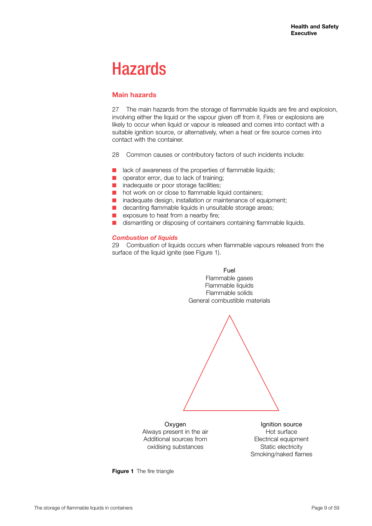## Hazards

## **Main hazards**

27 The main hazards from the storage of flammable liquids are fire and explosion, involving either the liquid or the vapour given off from it. Fires or explosions are likely to occur when liquid or vapour is released and comes into contact with a suitable ignition source, or alternatively, when a heat or fire source comes into contact with the container.

28 Common causes or contributory factors of such incidents include:

- $\blacksquare$  lack of awareness of the properties of flammable liquids;
- $\Box$  operator error, due to lack of training;
- $\blacksquare$  inadequate or poor storage facilities;
- $\blacksquare$  hot work on or close to flammable liquid containers;
- $\blacksquare$  inadequate design, installation or maintenance of equipment;
- $\blacksquare$  decanting flammable liquids in unsuitable storage areas;
- $\blacksquare$  exposure to heat from a nearby fire;
- $\blacksquare$  dismantling or disposing of containers containing flammable liquids.

#### *Combustion of liquids*

29 Combustion of liquids occurs when flammable vapours released from the surface of the liquid ignite (see Figure 1).



**Oxygen** Always present in the air Additional sources from oxidising substances

Ignition source Hot surface Electrical equipment Static electricity Smoking/naked flames

**Figure 1** The fire triangle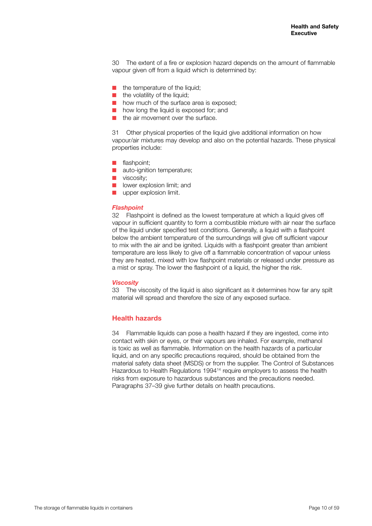30 The extent of a fire or explosion hazard depends on the amount of flammable vapour given off from a liquid which is determined by:

- $\blacksquare$  the temperature of the liquid;
- $\blacksquare$  the volatility of the liquid;
- $\blacksquare$  how much of the surface area is exposed;
- $\blacksquare$  how long the liquid is exposed for; and
- $\blacksquare$  the air movement over the surface.

31 Other physical properties of the liquid give additional information on how vapour/air mixtures may develop and also on the potential hazards. These physical properties include:

- $\blacksquare$  flashpoint;
- $\blacksquare$  auto-ignition temperature;
- $\blacksquare$  viscosity;
- $\blacksquare$  lower explosion limit; and
- $\blacksquare$  upper explosion limit.

#### *Flashpoint*

32 Flashpoint is defined as the lowest temperature at which a liquid gives off vapour in sufficient quantity to form a combustible mixture with air near the surface of the liquid under specified test conditions. Generally, a liquid with a flashpoint below the ambient temperature of the surroundings will give off sufficient vapour to mix with the air and be ignited. Liquids with a flashpoint greater than ambient temperature are less likely to give off a flammable concentration of vapour unless they are heated, mixed with low flashpoint materials or released under pressure as a mist or spray. The lower the flashpoint of a liquid, the higher the risk.

#### *Viscosity*

33 The viscosity of the liquid is also significant as it determines how far any spilt material will spread and therefore the size of any exposed surface.

## **Health hazards**

34 Flammable liquids can pose a health hazard if they are ingested, come into contact with skin or eyes, or their vapours are inhaled. For example, methanol is toxic as well as flammable. Information on the health hazards of a particular liquid, and on any specific precautions required, should be obtained from the material safety data sheet (MSDS) or from the supplier. The Control of Substances Hazardous to Health Regulations 1994<sup>14</sup> require employers to assess the health risks from exposure to hazardous substances and the precautions needed. Paragraphs 37–39 give further details on health precautions.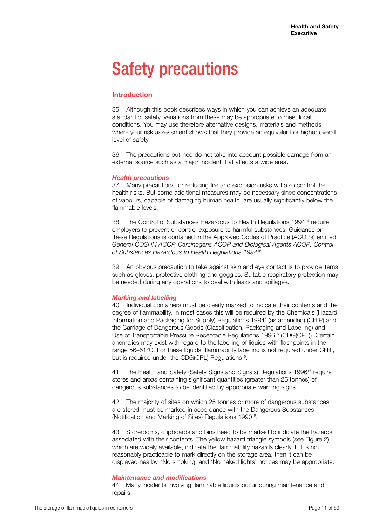## Safety precautions

## **Introduction**

35 Although this book describes ways in which you can achieve an adequate standard of safety, variations from these may be appropriate to meet local conditions. You may use therefore alternative designs, materials and methods where your risk assessment shows that they provide an equivalent or higher overall level of safety.

36 The precautions outlined do not take into account possible damage from an external source such as a major incident that affects a wide area.

#### *Health precautions*

37 Many precautions for reducing fire and explosion risks will also control the health risks. But some additional measures may be necessary since concentrations of vapours, capable of damaging human health, are usually significantly below the flammable levels.

38 The Control of Substances Hazardous to Health Regulations 1994<sup>14</sup> require employers to prevent or control exposure to harmful substances. Guidance on these Regulations is contained in the Approved Codes of Practice (ACOPs) entitled *General COSHH ACOP, Carcinogens ACOP and Biological Agents ACOP: Control of Substances Hazardous to Health Regulations 1994*15.

39 An obvious precaution to take against skin and eye contact is to provide items such as gloves, protective clothing and goggles. Suitable respiratory protection may be needed during any operations to deal with leaks and spillages.

#### *Marking and labelling*

40 Individual containers must be clearly marked to indicate their contents and the degree of flammability. In most cases this will be required by the Chemicals (Hazard Information and Packaging for Supply) Regulations 19945 (as amended) (CHIP) and the Carriage of Dangerous Goods (Classification, Packaging and Labelling) and Use of Transportable Pressure Receptacle Regulations 1996<sup>16</sup> (CDG(CPL)). Certain anomalies may exist with regard to the labelling of liquids with flashpoints in the range 56–61°C. For these liquids, flammability labelling is not required under CHIP, but is required under the CDG(CPL) Regulations<sup>16</sup>.

41 The Health and Safety (Safety Signs and Signals) Regulations 1996<sup>17</sup> require stores and areas containing significant quantities (greater than 25 tonnes) of dangerous substances to be identified by appropriate warning signs.

42 The majority of sites on which 25 tonnes or more of dangerous substances are stored must be marked in accordance with the Dangerous Substances (Notification and Marking of Sites) Regulations 199018.

43 Storerooms, cupboards and bins need to be marked to indicate the hazards associated with their contents. The yellow hazard triangle symbols (see Figure 2), which are widely available, indicate the flammability hazards clearly. If it is not reasonably practicable to mark directly on the storage area, then it can be displayed nearby. 'No smoking' and 'No naked lights' notices may be appropriate.

#### *Maintenance and modifications*

44 Many incidents involving flammable liquids occur during maintenance and repairs.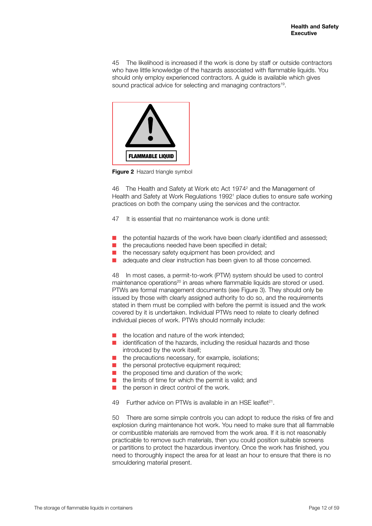45 The likelihood is increased if the work is done by staff or outside contractors who have little knowledge of the hazards associated with flammable liquids. You should only employ experienced contractors. A guide is available which gives sound practical advice for selecting and managing contractors<sup>19</sup>.



**Figure 2 Hazard triangle symbol** 

46 The Health and Safety at Work etc Act 1974<sup>2</sup> and the Management of Health and Safety at Work Regulations 1992<sup>1</sup> place duties to ensure safe working practices on both the company using the services and the contractor.

- 47 It is essential that no maintenance work is done until:
- the potential hazards of the work have been clearly identified and assessed;
- $\blacksquare$  the precautions needed have been specified in detail;
- the necessary safety equipment has been provided; and
- adequate and clear instruction has been given to all those concerned.

48 In most cases, a permit-to-work (PTW) system should be used to control maintenance operations<sup>20</sup> in areas where flammable liquids are stored or used. PTWs are formal management documents (see Figure 3). They should only be issued by those with clearly assigned authority to do so, and the requirements stated in them must be complied with before the permit is issued and the work covered by it is undertaken. Individual PTWs need to relate to clearly defined individual pieces of work. PTWs should normally include:

- the location and nature of the work intended;
- $\blacksquare$  identification of the hazards, including the residual hazards and those introduced by the work itself;
- $\blacksquare$  the precautions necessary, for example, isolations;
- $\blacksquare$  the personal protective equipment required;
- $\blacksquare$  the proposed time and duration of the work;
- $\blacksquare$  the limits of time for which the permit is valid; and
- the person in direct control of the work.
- 49 Further advice on PTWs is available in an HSF leaflet<sup>21</sup>.

50 There are some simple controls you can adopt to reduce the risks of fire and explosion during maintenance hot work. You need to make sure that all flammable or combustible materials are removed from the work area. If it is not reasonably practicable to remove such materials, then you could position suitable screens or partitions to protect the hazardous inventory. Once the work has finished, you need to thoroughly inspect the area for at least an hour to ensure that there is no smouldering material present.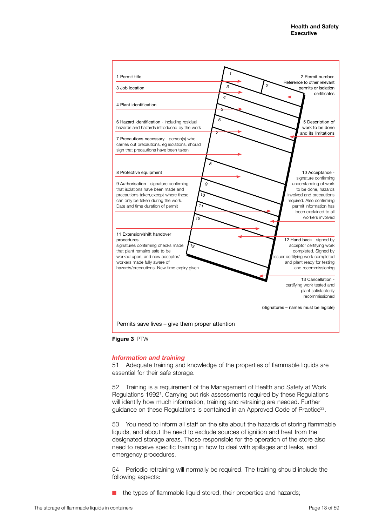

**Figure 3** PTW

#### *Information and training*

51 Adequate training and knowledge of the properties of flammable liquids are essential for their safe storage.

52 Training is a requirement of the Management of Health and Safety at Work Regulations 19921 . Carrying out risk assessments required by these Regulations will identify how much information, training and retraining are needed. Further guidance on these Regulations is contained in an Approved Code of Practice<sup>22</sup>.

53 You need to inform all staff on the site about the hazards of storing flammable liquids, and about the need to exclude sources of ignition and heat from the designated storage areas. Those responsible for the operation of the store also need to receive specific training in how to deal with spillages and leaks, and emergency procedures.

54 Periodic retraining will normally be required. The training should include the following aspects:

the types of flammable liquid stored, their properties and hazards;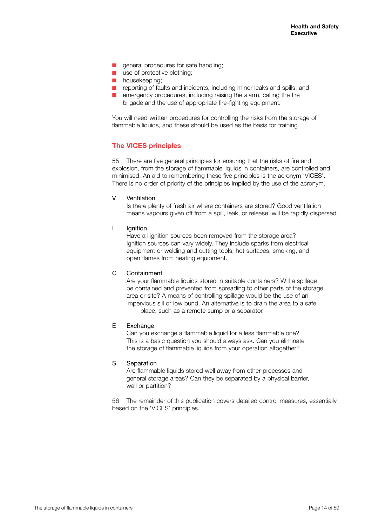- $\Box$  general procedures for safe handling;
- $\blacksquare$  use of protective clothing;
- $\blacksquare$  housekeeping;
- $\blacksquare$  reporting of faults and incidents, including minor leaks and spills; and
- $\blacksquare$  emergency procedures, including raising the alarm, calling the fire brigade and the use of appropriate fire-fighting equipment.

You will need written procedures for controlling the risks from the storage of flammable liquids, and these should be used as the basis for training.

## **The VICES principles**

55 There are five general principles for ensuring that the risks of fire and explosion, from the storage of flammable liquids in containers, are controlled and minimised. An aid to remembering these five principles is the acronym 'VICES'. There is no order of priority of the principles implied by the use of the acronym.

#### V Ventilation

Is there plenty of fresh air where containers are stored? Good ventilation means vapours given off from a spill, leak, or release, will be rapidly dispersed.

I Ignition

Have all ignition sources been removed from the storage area? Ignition sources can vary widely. They include sparks from electrical equipment or welding and cutting tools, hot surfaces, smoking, and open flames from heating equipment.

#### C Containment

Are your flammable liquids stored in suitable containers? Will a spillage be contained and prevented from spreading to other parts of the storage area or site? A means of controlling spillage would be the use of an impervious sill or low bund. An alternative is to drain the area to a safe place, such as a remote sump or a separator.

### E Exchange

Can you exchange a flammable liquid for a less flammable one? This is a basic question you should always ask. Can you eliminate the storage of flammable liquids from your operation altogether?

#### S Separation

Are flammable liquids stored well away from other processes and general storage areas? Can they be separated by a physical barrier, wall or partition?

56 The remainder of this publication covers detailed control measures, essentially based on the 'VICES' principles.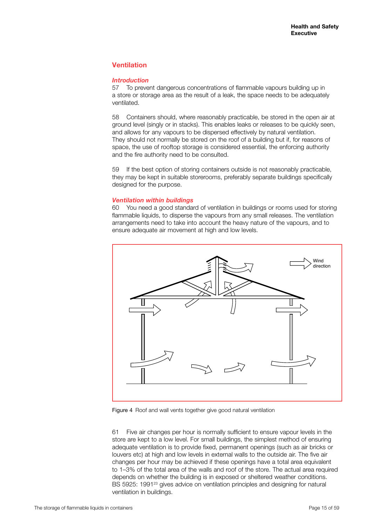## **Ventilation**

### *Introduction*

57 To prevent dangerous concentrations of flammable vapours building up in a store or storage area as the result of a leak, the space needs to be adequately ventilated.

58 Containers should, where reasonably practicable, be stored in the open air at ground level (singly or in stacks). This enables leaks or releases to be quickly seen, and allows for any vapours to be dispersed effectively by natural ventilation. They should not normally be stored on the roof of a building but if, for reasons of space, the use of rooftop storage is considered essential, the enforcing authority and the fire authority need to be consulted.

59 If the best option of storing containers outside is not reasonably practicable, they may be kept in suitable storerooms, preferably separate buildings specifically designed for the purpose.

## *Ventilation within buildings*

60 You need a good standard of ventilation in buildings or rooms used for storing flammable liquids, to disperse the vapours from any small releases. The ventilation arrangements need to take into account the heavy nature of the vapours, and to ensure adequate air movement at high and low levels.



Figure 4 Roof and wall vents together give good natural ventilation

61 Five air changes per hour is normally sufficient to ensure vapour levels in the store are kept to a low level. For small buildings, the simplest method of ensuring adequate ventilation is to provide fixed, permanent openings (such as air bricks or louvers etc) at high and low levels in external walls to the outside air. The five air changes per hour may be achieved if these openings have a total area equivalent to 1–3% of the total area of the walls and roof of the store. The actual area required depends on whether the building is in exposed or sheltered weather conditions. BS 5925: 1991<sup>23</sup> gives advice on ventilation principles and designing for natural ventilation in buildings.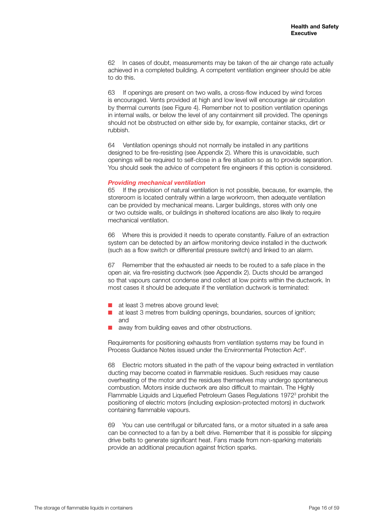62 In cases of doubt, measurements may be taken of the air change rate actually achieved in a completed building. A competent ventilation engineer should be able to do this.

63 If openings are present on two walls, a cross-flow induced by wind forces is encouraged. Vents provided at high and low level will encourage air circulation by thermal currents (see Figure 4). Remember not to position ventilation openings in internal walls, or below the level of any containment sill provided. The openings should not be obstructed on either side by, for example, container stacks, dirt or rubbish.

64 Ventilation openings should not normally be installed in any partitions designed to be fire-resisting (see Appendix 2). Where this is unavoidable, such openings will be required to self-close in a fire situation so as to provide separation. You should seek the advice of competent fire engineers if this option is considered.

#### *Providing mechanical ventilation*

65 If the provision of natural ventilation is not possible, because, for example, the storeroom is located centrally within a large workroom, then adequate ventilation can be provided by mechanical means. Larger buildings, stores with only one or two outside walls, or buildings in sheltered locations are also likely to require mechanical ventilation.

66 Where this is provided it needs to operate constantly. Failure of an extraction system can be detected by an airflow monitoring device installed in the ductwork (such as a flow switch or differential pressure switch) and linked to an alarm.

67 Remember that the exhausted air needs to be routed to a safe place in the open air, via fire-resisting ductwork (see Appendix 2). Ducts should be arranged so that vapours cannot condense and collect at low points within the ductwork. In most cases it should be adequate if the ventilation ductwork is terminated:

- $\blacksquare$  at least 3 metres above ground level;
- $\blacksquare$  at least 3 metres from building openings, boundaries, sources of ignition; and
- away from building eaves and other obstructions.

Requirements for positioning exhausts from ventilation systems may be found in Process Guidance Notes issued under the Environmental Protection Act<sup>6</sup>.

68 Electric motors situated in the path of the vapour being extracted in ventilation ducting may become coated in flammable residues. Such residues may cause overheating of the motor and the residues themselves may undergo spontaneous combustion. Motors inside ductwork are also difficult to maintain. The Highly Flammable Liquids and Liquefied Petroleum Gases Regulations 1972<sup>3</sup> prohibit the positioning of electric motors (including explosion-protected motors) in ductwork containing flammable vapours.

69 You can use centrifugal or bifurcated fans, or a motor situated in a safe area can be connected to a fan by a belt drive. Remember that it is possible for slipping drive belts to generate significant heat. Fans made from non-sparking materials provide an additional precaution against friction sparks.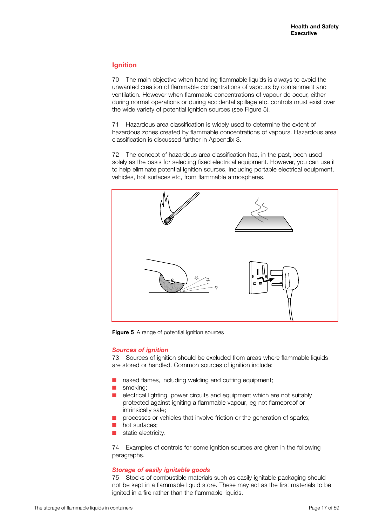## **Ignition**

70 The main objective when handling flammable liquids is always to avoid the unwanted creation of flammable concentrations of vapours by containment and ventilation. However when flammable concentrations of vapour do occur, either during normal operations or during accidental spillage etc, controls must exist over the wide variety of potential ignition sources (see Figure 5).

71 Hazardous area classification is widely used to determine the extent of hazardous zones created by flammable concentrations of vapours. Hazardous area classification is discussed further in Appendix 3.

72 The concept of hazardous area classification has, in the past, been used solely as the basis for selecting fixed electrical equipment. However, you can use it to help eliminate potential ignition sources, including portable electrical equipment, vehicles, hot surfaces etc, from flammable atmospheres.



**Figure 5** A range of potential ignition sources

#### *Sources of ignition*

73 Sources of ignition should be excluded from areas where flammable liquids are stored or handled. Common sources of ignition include:

- naked flames, including welding and cutting equipment;
- $\blacksquare$  smoking:
- $\blacksquare$  electrical lighting, power circuits and equipment which are not suitably protected against igniting a flammable vapour, eg not flameproof or intrinsically safe;
- processes or vehicles that involve friction or the generation of sparks;
- hot surfaces;
- static electricity.

74 Examples of controls for some ignition sources are given in the following paragraphs.

#### *Storage of easily ignitable goods*

75 Stocks of combustible materials such as easily ignitable packaging should not be kept in a flammable liquid store. These may act as the first materials to be ignited in a fire rather than the flammable liquids.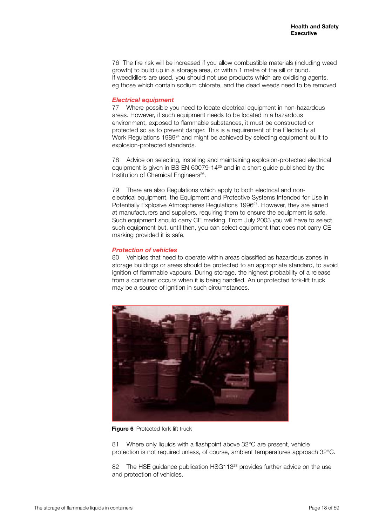76 The fire risk will be increased if you allow combustible materials (including weed growth) to build up in a storage area, or within 1 metre of the sill or bund. If weedkillers are used, you should not use products which are oxidising agents, eg those which contain sodium chlorate, and the dead weeds need to be removed

### *Electrical equipment*

77 Where possible you need to locate electrical equipment in non-hazardous areas. However, if such equipment needs to be located in a hazardous environment, exposed to flammable substances, it must be constructed or protected so as to prevent danger. This is a requirement of the Electricity at Work Regulations 1989<sup>24</sup> and might be achieved by selecting equipment built to explosion-protected standards.

78 Advice on selecting, installing and maintaining explosion-protected electrical equipment is given in BS EN 60079-1425 and in a short guide published by the Institution of Chemical Engineers<sup>26</sup>.

79 There are also Regulations which apply to both electrical and nonelectrical equipment, the Equipment and Protective Systems Intended for Use in Potentially Explosive Atmospheres Regulations 1996<sup>27</sup>. However, they are aimed at manufacturers and suppliers, requiring them to ensure the equipment is safe. Such equipment should carry CE marking. From July 2003 you will have to select such equipment but, until then, you can select equipment that does not carry CE marking provided it is safe.

## *Protection of vehicles*

80 Vehicles that need to operate within areas classified as hazardous zones in storage buildings or areas should be protected to an appropriate standard, to avoid ignition of flammable vapours. During storage, the highest probability of a release from a container occurs when it is being handled. An unprotected fork-lift truck may be a source of ignition in such circumstances.



**Figure 6** Protected fork-lift truck

81 Where only liquids with a flashpoint above 32°C are present, vehicle protection is not required unless, of course, ambient temperatures approach 32°C.

82 The HSE guidance publication HSG113<sup>28</sup> provides further advice on the use and protection of vehicles.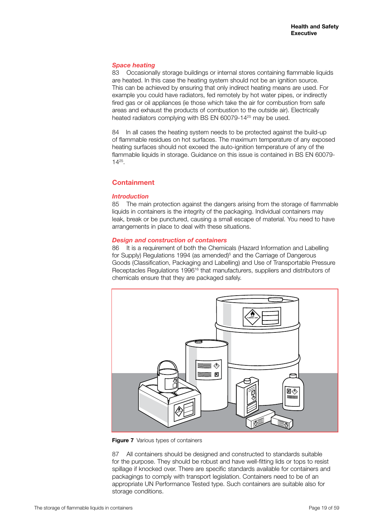### *Space heating*

83 Occasionally storage buildings or internal stores containing flammable liquids are heated. In this case the heating system should not be an ignition source. This can be achieved by ensuring that only indirect heating means are used. For example you could have radiators, fed remotely by hot water pipes, or indirectly fired gas or oil appliances (ie those which take the air for combustion from safe areas and exhaust the products of combustion to the outside air). Electrically heated radiators complying with BS EN 60079-1425 may be used.

84 In all cases the heating system needs to be protected against the build-up of flammable residues on hot surfaces. The maximum temperature of any exposed heating surfaces should not exceed the auto-ignition temperature of any of the flammable liquids in storage. Guidance on this issue is contained in BS EN 60079- 1425.

## **Containment**

## *Introduction*

85 The main protection against the dangers arising from the storage of flammable liquids in containers is the integrity of the packaging. Individual containers may leak, break or be punctured, causing a small escape of material. You need to have arrangements in place to deal with these situations.

## *Design and construction of containers*

86 It is a requirement of both the Chemicals (Hazard Information and Labelling for Supply) Regulations 1994 (as amended)<sup>5</sup> and the Carriage of Dangerous Goods (Classification, Packaging and Labelling) and Use of Transportable Pressure Receptacles Regulations 1996<sup>16</sup> that manufacturers, suppliers and distributors of chemicals ensure that they are packaged safely.



**Figure 7** Various types of containers

87 All containers should be designed and constructed to standards suitable for the purpose. They should be robust and have well-fitting lids or tops to resist spillage if knocked over. There are specific standards available for containers and packagings to comply with transport legislation. Containers need to be of an appropriate UN Performance Tested type. Such containers are suitable also for storage conditions.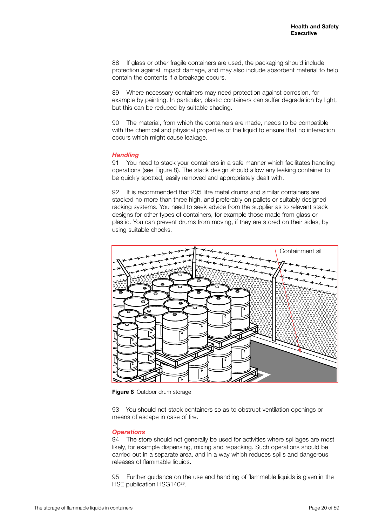88 If glass or other fragile containers are used, the packaging should include protection against impact damage, and may also include absorbent material to help contain the contents if a breakage occurs.

89 Where necessary containers may need protection against corrosion, for example by painting. In particular, plastic containers can suffer degradation by light, but this can be reduced by suitable shading.

90 The material, from which the containers are made, needs to be compatible with the chemical and physical properties of the liquid to ensure that no interaction occurs which might cause leakage.

#### *Handling*

91 You need to stack your containers in a safe manner which facilitates handling operations (see Figure 8). The stack design should allow any leaking container to be quickly spotted, easily removed and appropriately dealt with.

92 It is recommended that 205 litre metal drums and similar containers are stacked no more than three high, and preferably on pallets or suitably designed racking systems. You need to seek advice from the supplier as to relevant stack designs for other types of containers, for example those made from glass or plastic. You can prevent drums from moving, if they are stored on their sides, by using suitable chocks.



**Figure 8** Outdoor drum storage

93 You should not stack containers so as to obstruct ventilation openings or means of escape in case of fire.

#### *Operations*

94 The store should not generally be used for activities where spillages are most likely, for example dispensing, mixing and repacking. Such operations should be carried out in a separate area, and in a way which reduces spills and dangerous releases of flammable liquids.

95 Further guidance on the use and handling of flammable liquids is given in the HSE publication HSG140<sup>29</sup>.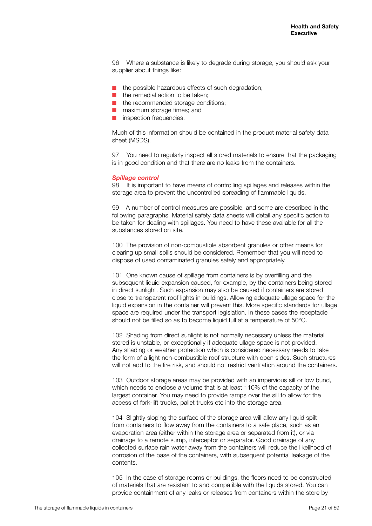96 Where a substance is likely to degrade during storage, you should ask your supplier about things like:

- $\blacksquare$  the possible hazardous effects of such degradation;
- $\blacksquare$  the remedial action to be taken;
- $\blacksquare$  the recommended storage conditions;
- $\blacksquare$  maximum storage times; and
- **n** inspection frequencies.

Much of this information should be contained in the product material safety data sheet (MSDS).

97 You need to regularly inspect all stored materials to ensure that the packaging is in good condition and that there are no leaks from the containers.

#### *Spillage control*

98 It is important to have means of controlling spillages and releases within the storage area to prevent the uncontrolled spreading of flammable liquids.

99 A number of control measures are possible, and some are described in the following paragraphs. Material safety data sheets will detail any specific action to be taken for dealing with spillages. You need to have these available for all the substances stored on site.

100 The provision of non-combustible absorbent granules or other means for clearing up small spills should be considered. Remember that you will need to dispose of used contaminated granules safely and appropriately.

101 One known cause of spillage from containers is by overfilling and the subsequent liquid expansion caused, for example, by the containers being stored in direct sunlight. Such expansion may also be caused if containers are stored close to transparent roof lights in buildings. Allowing adequate ullage space for the liquid expansion in the container will prevent this. More specific standards for ullage space are required under the transport legislation. In these cases the receptacle should not be filled so as to become liquid full at a temperature of 50°C.

102 Shading from direct sunlight is not normally necessary unless the material stored is unstable, or exceptionally if adequate ullage space is not provided. Any shading or weather protection which is considered necessary needs to take the form of a light non-combustible roof structure with open sides. Such structures will not add to the fire risk, and should not restrict ventilation around the containers.

103 Outdoor storage areas may be provided with an impervious sill or low bund, which needs to enclose a volume that is at least 110% of the capacity of the largest container. You may need to provide ramps over the sill to allow for the access of fork-lift trucks, pallet trucks etc into the storage area.

104 Slightly sloping the surface of the storage area will allow any liquid spilt from containers to flow away from the containers to a safe place, such as an evaporation area (either within the storage area or separated from it), or via drainage to a remote sump, interceptor or separator. Good drainage of any collected surface rain water away from the containers will reduce the likelihood of corrosion of the base of the containers, with subsequent potential leakage of the contents.

105 In the case of storage rooms or buildings, the floors need to be constructed of materials that are resistant to and compatible with the liquids stored. You can provide containment of any leaks or releases from containers within the store by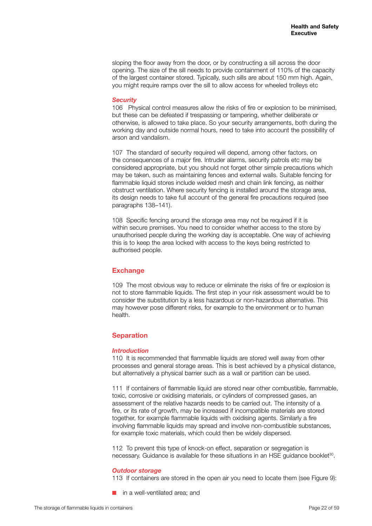sloping the floor away from the door, or by constructing a sill across the door opening. The size of the sill needs to provide containment of 110% of the capacity of the largest container stored. Typically, such sills are about 150 mm high. Again, you might require ramps over the sill to allow access for wheeled trolleys etc

#### *Security*

106 Physical control measures allow the risks of fire or explosion to be minimised, but these can be defeated if trespassing or tampering, whether deliberate or otherwise, is allowed to take place. So your security arrangements, both during the working day and outside normal hours, need to take into account the possibility of arson and vandalism.

107 The standard of security required will depend, among other factors, on the consequences of a major fire. Intruder alarms, security patrols etc may be considered appropriate, but you should not forget other simple precautions which may be taken, such as maintaining fences and external walls. Suitable fencing for flammable liquid stores include welded mesh and chain link fencing, as neither obstruct ventilation. Where security fencing is installed around the storage area, its design needs to take full account of the general fire precautions required (see paragraphs 138–141).

108 Specific fencing around the storage area may not be required if it is within secure premises. You need to consider whether access to the store by unauthorised people during the working day is acceptable. One way of achieving this is to keep the area locked with access to the keys being restricted to authorised people.

## **Exchange**

109 The most obvious way to reduce or eliminate the risks of fire or explosion is not to store flammable liquids. The first step in your risk assessment would be to consider the substitution by a less hazardous or non-hazardous alternative. This may however pose different risks, for example to the environment or to human health.

#### **Separation**

#### *Introduction*

110 It is recommended that flammable liquids are stored well away from other processes and general storage areas. This is best achieved by a physical distance, but alternatively a physical barrier such as a wall or partition can be used.

111 If containers of flammable liquid are stored near other combustible, flammable, toxic, corrosive or oxidising materials, or cylinders of compressed gases, an assessment of the relative hazards needs to be carried out. The intensity of a fire, or its rate of growth, may be increased if incompatible materials are stored together, for example flammable liquids with oxidising agents. Similarly a fire involving flammable liquids may spread and involve non-combustible substances, for example toxic materials, which could then be widely dispersed.

112 To prevent this type of knock-on effect, separation or segregation is necessary. Guidance is available for these situations in an HSE guidance booklet<sup>30</sup>.

#### *Outdoor storage*

113 If containers are stored in the open air you need to locate them (see Figure 9):

in a well-ventilated area; and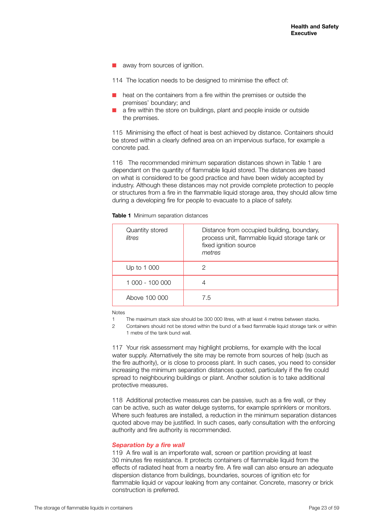away from sources of ignition.

114 The location needs to be designed to minimise the effect of:

- $\blacksquare$  heat on the containers from a fire within the premises or outside the premises' boundary; and
- a fire within the store on buildings, plant and people inside or outside the premises.

115 Minimising the effect of heat is best achieved by distance. Containers should be stored within a clearly defined area on an impervious surface, for example a concrete pad.

116 The recommended minimum separation distances shown in Table 1 are dependant on the quantity of flammable liquid stored. The distances are based on what is considered to be good practice and have been widely accepted by industry. Although these distances may not provide complete protection to people or structures from a fire in the flammable liquid storage area, they should allow time during a developing fire for people to evacuate to a place of safety.

|  |  | <b>Table 1</b> Minimum separation distances |  |
|--|--|---------------------------------------------|--|
|--|--|---------------------------------------------|--|

| Quantity stored<br>litres | Distance from occupied building, boundary,<br>process unit, flammable liquid storage tank or<br>fixed ignition source<br>metres |
|---------------------------|---------------------------------------------------------------------------------------------------------------------------------|
| Up to 1 000               | 2                                                                                                                               |
| 1 000 - 100 000           | 4                                                                                                                               |
| Above 100 000             | 7.5                                                                                                                             |

Notes

- 1 The maximum stack size should be 300 000 litres, with at least 4 metres between stacks.
- 2 Containers should not be stored within the bund of a fixed flammable liquid storage tank or within 1 metre of the tank bund wall.

117 Your risk assessment may highlight problems, for example with the local water supply. Alternatively the site may be remote from sources of help (such as the fire authority), or is close to process plant. In such cases, you need to consider increasing the minimum separation distances quoted, particularly if the fire could spread to neighbouring buildings or plant. Another solution is to take additional protective measures.

118 Additional protective measures can be passive, such as a fire wall, or they can be active, such as water deluge systems, for example sprinklers or monitors. Where such features are installed, a reduction in the minimum separation distances quoted above may be justified. In such cases, early consultation with the enforcing authority and fire authority is recommended.

#### *Separation by a fire wall*

119 A fire wall is an imperforate wall, screen or partition providing at least 30 minutes fire resistance. It protects containers of flammable liquid from the effects of radiated heat from a nearby fire. A fire wall can also ensure an adequate dispersion distance from buildings, boundaries, sources of ignition etc for flammable liquid or vapour leaking from any container. Concrete, masonry or brick construction is preferred.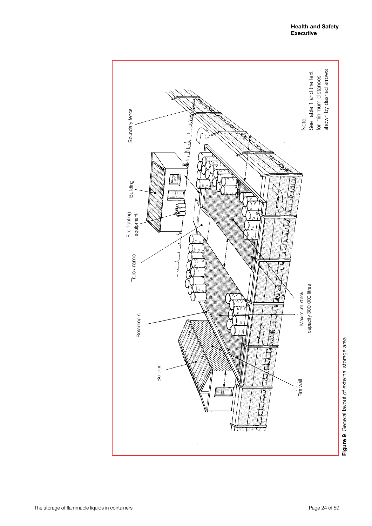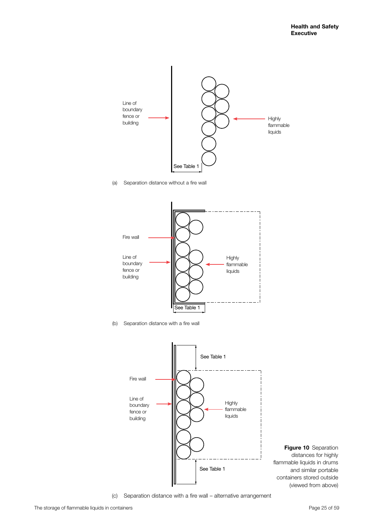

(a) Separation distance without a fire wall



(b) Separation distance with a fire wall





(c) Separation distance with a fire wall – alternative arrangement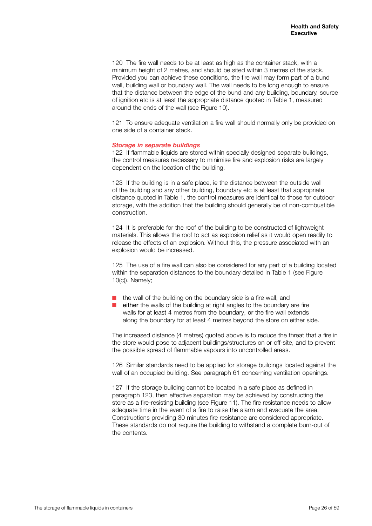120 The fire wall needs to be at least as high as the container stack, with a minimum height of 2 metres, and should be sited within 3 metres of the stack. Provided you can achieve these conditions, the fire wall may form part of a bund wall, building wall or boundary wall. The wall needs to be long enough to ensure that the distance between the edge of the bund and any building, boundary, source of ignition etc is at least the appropriate distance quoted in Table 1, measured around the ends of the wall (see Figure 10).

121 To ensure adequate ventilation a fire wall should normally only be provided on one side of a container stack.

#### *Storage in separate buildings*

122 If flammable liquids are stored within specially designed separate buildings, the control measures necessary to minimise fire and explosion risks are largely dependent on the location of the building.

123 If the building is in a safe place, ie the distance between the outside wall of the building and any other building, boundary etc is at least that appropriate distance quoted in Table 1, the control measures are identical to those for outdoor storage, with the addition that the building should generally be of non-combustible construction.

124 It is preferable for the roof of the building to be constructed of lightweight materials. This allows the roof to act as explosion relief as it would open readily to release the effects of an explosion. Without this, the pressure associated with an explosion would be increased.

125 The use of a fire wall can also be considered for any part of a building located within the separation distances to the boundary detailed in Table 1 (see Figure 10(c)). Namely;

- $\blacksquare$  the wall of the building on the boundary side is a fire wall; and
- either the walls of the building at right angles to the boundary are fire walls for at least 4 metres from the boundary, or the fire wall extends along the boundary for at least 4 metres beyond the store on either side.

The increased distance (4 metres) quoted above is to reduce the threat that a fire in the store would pose to adjacent buildings/structures on or off-site, and to prevent the possible spread of flammable vapours into uncontrolled areas.

126 Similar standards need to be applied for storage buildings located against the wall of an occupied building. See paragraph 61 concerning ventilation openings.

127 If the storage building cannot be located in a safe place as defined in paragraph 123, then effective separation may be achieved by constructing the store as a fire-resisting building (see Figure 11). The fire resistance needs to allow adequate time in the event of a fire to raise the alarm and evacuate the area. Constructions providing 30 minutes fire resistance are considered appropriate. These standards do not require the building to withstand a complete burn-out of the contents.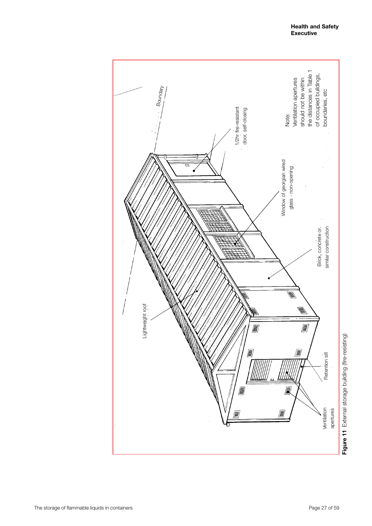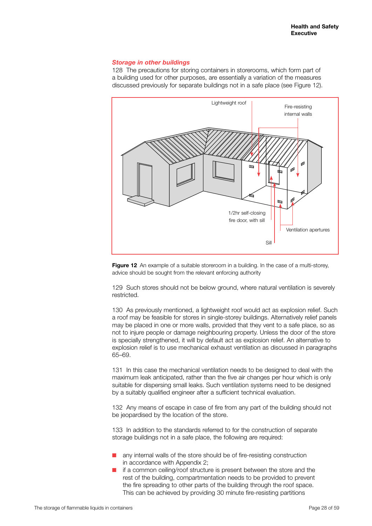#### *Storage in other buildings*

128 The precautions for storing containers in storerooms, which form part of a building used for other purposes, are essentially a variation of the measures discussed previously for separate buildings not in a safe place (see Figure 12).



Figure 12 An example of a suitable storeroom in a building. In the case of a multi-storey, advice should be sought from the relevant enforcing authority

129 Such stores should not be below ground, where natural ventilation is severely restricted.

130 As previously mentioned, a lightweight roof would act as explosion relief. Such a roof may be feasible for stores in single-storey buildings. Alternatively relief panels may be placed in one or more walls, provided that they vent to a safe place, so as not to injure people or damage neighbouring property. Unless the door of the store is specially strengthened, it will by default act as explosion relief. An alternative to explosion relief is to use mechanical exhaust ventilation as discussed in paragraphs 65–69.

131 In this case the mechanical ventilation needs to be designed to deal with the maximum leak anticipated, rather than the five air changes per hour which is only suitable for dispersing small leaks. Such ventilation systems need to be designed by a suitably qualified engineer after a sufficient technical evaluation.

132 Any means of escape in case of fire from any part of the building should not be jeopardised by the location of the store.

133 In addition to the standards referred to for the construction of separate storage buildings not in a safe place, the following are required:

- any internal walls of the store should be of fire-resisting construction in accordance with Appendix 2;
- if a common ceiling/roof structure is present between the store and the rest of the building, compartmentation needs to be provided to prevent the fire spreading to other parts of the building through the roof space. This can be achieved by providing 30 minute fire-resisting partitions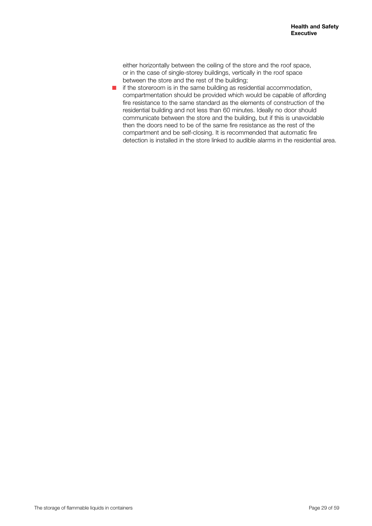either horizontally between the ceiling of the store and the roof space, or in the case of single-storey buildings, vertically in the roof space between the store and the rest of the building;

 $\blacksquare$  if the storeroom is in the same building as residential accommodation, compartmentation should be provided which would be capable of affording fire resistance to the same standard as the elements of construction of the residential building and not less than 60 minutes. Ideally no door should communicate between the store and the building, but if this is unavoidable then the doors need to be of the same fire resistance as the rest of the compartment and be self-closing. It is recommended that automatic fire detection is installed in the store linked to audible alarms in the residential area.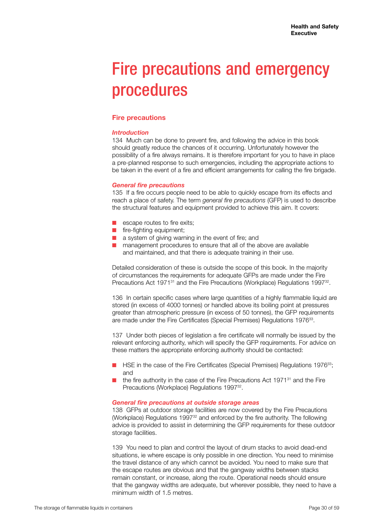## Fire precautions and emergency procedures

## **Fire precautions**

## *Introduction*

134 Much can be done to prevent fire, and following the advice in this book should greatly reduce the chances of it occurring. Unfortunately however the possibility of a fire always remains. It is therefore important for you to have in place a pre-planned response to such emergencies, including the appropriate actions to be taken in the event of a fire and efficient arrangements for calling the fire brigade.

## *General fire precautions*

135 If a fire occurs people need to be able to quickly escape from its effects and reach a place of safety. The term *general fire precautions* (GFP) is used to describe the structural features and equipment provided to achieve this aim. It covers:

- $\blacksquare$  escape routes to fire exits;
- $\blacksquare$  fire-fighting equipment;
- $\blacksquare$  a system of giving warning in the event of fire; and
- $\blacksquare$  management procedures to ensure that all of the above are available and maintained, and that there is adequate training in their use.

Detailed consideration of these is outside the scope of this book. In the majority of circumstances the requirements for adequate GFPs are made under the Fire Precautions Act 1971<sup>31</sup> and the Fire Precautions (Workplace) Regulations 1997<sup>32</sup>.

136 In certain specific cases where large quantities of a highly flammable liquid are stored (in excess of 4000 tonnes) or handled above its boiling point at pressures greater than atmospheric pressure (in excess of 50 tonnes), the GFP requirements are made under the Fire Certificates (Special Premises) Regulations 1976<sup>33</sup>.

137 Under both pieces of legislation a fire certificate will normally be issued by the relevant enforcing authority, which will specify the GFP requirements. For advice on these matters the appropriate enforcing authority should be contacted:

- HSE in the case of the Fire Certificates (Special Premises) Regulations 1976<sup>33</sup>; and
- the fire authority in the case of the Fire Precautions Act  $1971<sup>31</sup>$  and the Fire Precautions (Workplace) Regulations 1997<sup>32</sup>.

### *General fire precautions at outside storage areas*

138 GFPs at outdoor storage facilities are now covered by the Fire Precautions (Workplace) Regulations 1997<sup>32</sup> and enforced by the fire authority. The following advice is provided to assist in determining the GFP requirements for these outdoor storage facilities.

139 You need to plan and control the layout of drum stacks to avoid dead-end situations, ie where escape is only possible in one direction. You need to minimise the travel distance of any which cannot be avoided. You need to make sure that the escape routes are obvious and that the gangway widths between stacks remain constant, or increase, along the route. Operational needs should ensure that the gangway widths are adequate, but wherever possible, they need to have a minimum width of 1.5 metres.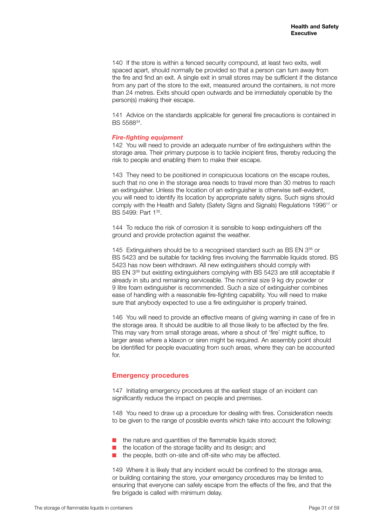140 If the store is within a fenced security compound, at least two exits, well spaced apart, should normally be provided so that a person can turn away from the fire and find an exit. A single exit in small stores may be sufficient if the distance from any part of the store to the exit, measured around the containers, is not more than 24 metres. Exits should open outwards and be immediately openable by the person(s) making their escape.

141 Advice on the standards applicable for general fire precautions is contained in BS 558834.

#### *Fire-fighting equipment*

142 You will need to provide an adequate number of fire extinguishers within the storage area. Their primary purpose is to tackle incipient fires, thereby reducing the risk to people and enabling them to make their escape.

143 They need to be positioned in conspicuous locations on the escape routes, such that no one in the storage area needs to travel more than 30 metres to reach an extinguisher. Unless the location of an extinguisher is otherwise self-evident, you will need to identify its location by appropriate safety signs. Such signs should comply with the Health and Safety (Safety Signs and Signals) Regulations 199617 or BS 5499: Part 135.

144 To reduce the risk of corrosion it is sensible to keep extinguishers off the ground and provide protection against the weather.

145 Extinguishers should be to a recognised standard such as BS EN 3<sup>36</sup> or BS 5423 and be suitable for tackling fires involving the flammable liquids stored. BS 5423 has now been withdrawn. All new extinguishers should comply with BS EN 336 but existing extinguishers complying with BS 5423 are still acceptable if already in situ and remaining serviceable. The nominal size 9 kg dry powder or 9 litre foam extinguisher is recommended. Such a size of extinguisher combines ease of handling with a reasonable fire-fighting capability. You will need to make sure that anybody expected to use a fire extinguisher is properly trained.

146 You will need to provide an effective means of giving warning in case of fire in the storage area. It should be audible to all those likely to be affected by the fire. This may vary from small storage areas, where a shout of 'fire' might suffice, to larger areas where a klaxon or siren might be required. An assembly point should be identified for people evacuating from such areas, where they can be accounted for.

#### **Emergency procedures**

147 Initiating emergency procedures at the earliest stage of an incident can significantly reduce the impact on people and premises.

148 You need to draw up a procedure for dealing with fires. Consideration needs to be given to the range of possible events which take into account the following:

- the nature and quantities of the flammable liquids stored:
- the location of the storage facility and its design; and
- $\blacksquare$  the people, both on-site and off-site who may be affected.

149 Where it is likely that any incident would be confined to the storage area, or building containing the store, your emergency procedures may be limited to ensuring that everyone can safely escape from the effects of the fire, and that the fire brigade is called with minimum delay.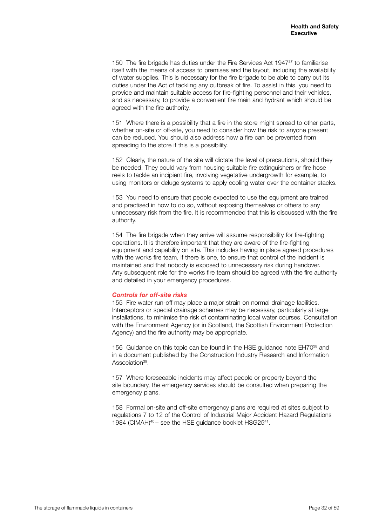150 The fire brigade has duties under the Fire Services Act 1947<sup>37</sup> to familiarise itself with the means of access to premises and the layout, including the availability of water supplies. This is necessary for the fire brigade to be able to carry out its duties under the Act of tackling any outbreak of fire. To assist in this, you need to provide and maintain suitable access for fire-fighting personnel and their vehicles, and as necessary, to provide a convenient fire main and hydrant which should be agreed with the fire authority.

151 Where there is a possibility that a fire in the store might spread to other parts, whether on-site or off-site, you need to consider how the risk to anyone present can be reduced. You should also address how a fire can be prevented from spreading to the store if this is a possibility.

152 Clearly, the nature of the site will dictate the level of precautions, should they be needed. They could vary from housing suitable fire extinguishers or fire hose reels to tackle an incipient fire, involving vegetative undergrowth for example, to using monitors or deluge systems to apply cooling water over the container stacks.

153 You need to ensure that people expected to use the equipment are trained and practised in how to do so, without exposing themselves or others to any unnecessary risk from the fire. It is recommended that this is discussed with the fire authority.

154 The fire brigade when they arrive will assume responsibility for fire-fighting operations. It is therefore important that they are aware of the fire-fighting equipment and capability on site. This includes having in place agreed procedures with the works fire team, if there is one, to ensure that control of the incident is maintained and that nobody is exposed to unnecessary risk during handover. Any subsequent role for the works fire team should be agreed with the fire authority and detailed in your emergency procedures.

#### *Controls for off-site risks*

155 Fire water run-off may place a major strain on normal drainage facilities. Interceptors or special drainage schemes may be necessary, particularly at large installations, to minimise the risk of contaminating local water courses. Consultation with the Environment Agency (or in Scotland, the Scottish Environment Protection Agency) and the fire authority may be appropriate.

156 Guidance on this topic can be found in the HSE guidance note EH70<sup>38</sup> and in a document published by the Construction Industry Research and Information Association<sup>39</sup>.

157 Where foreseeable incidents may affect people or property beyond the site boundary, the emergency services should be consulted when preparing the emergency plans.

158 Formal on-site and off-site emergency plans are required at sites subject to regulations 7 to 12 of the Control of Industrial Major Accident Hazard Regulations 1984 (CIMAH)<sup>40</sup> – see the HSE quidance booklet HSG25<sup>41</sup>.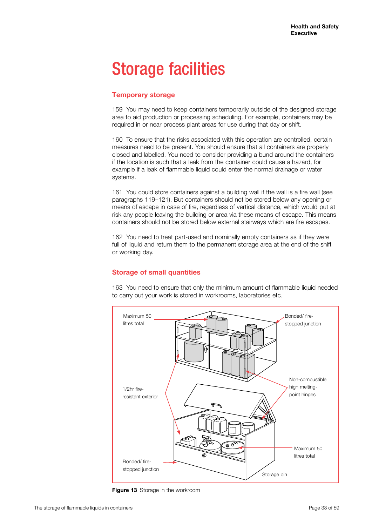## Storage facilities

## **Temporary storage**

159 You may need to keep containers temporarily outside of the designed storage area to aid production or processing scheduling. For example, containers may be required in or near process plant areas for use during that day or shift.

160 To ensure that the risks associated with this operation are controlled, certain measures need to be present. You should ensure that all containers are properly closed and labelled. You need to consider providing a bund around the containers if the location is such that a leak from the container could cause a hazard, for example if a leak of flammable liquid could enter the normal drainage or water systems.

161 You could store containers against a building wall if the wall is a fire wall (see paragraphs 119–121). But containers should not be stored below any opening or means of escape in case of fire, regardless of vertical distance, which would put at risk any people leaving the building or area via these means of escape. This means containers should not be stored below external stairways which are fire escapes.

162 You need to treat part-used and nominally empty containers as if they were full of liquid and return them to the permanent storage area at the end of the shift or working day.

## **Storage of small quantities**

163 You need to ensure that only the minimum amount of flammable liquid needed to carry out your work is stored in workrooms, laboratories etc.



**Figure 13** Storage in the workroom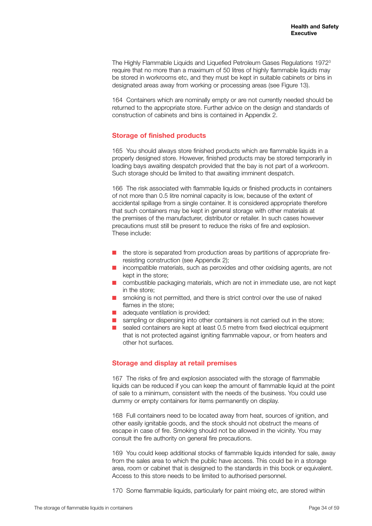The Highly Flammable Liquids and Liquefied Petroleum Gases Regulations 19723 require that no more than a maximum of 50 litres of highly flammable liquids may be stored in workrooms etc, and they must be kept in suitable cabinets or bins in designated areas away from working or processing areas (see Figure 13).

164 Containers which are nominally empty or are not currently needed should be returned to the appropriate store. Further advice on the design and standards of construction of cabinets and bins is contained in Appendix 2.

## **Storage of finished products**

165 You should always store finished products which are flammable liquids in a properly designed store. However, finished products may be stored temporarily in loading bays awaiting despatch provided that the bay is not part of a workroom. Such storage should be limited to that awaiting imminent despatch.

166 The risk associated with flammable liquids or finished products in containers of not more than 0.5 litre nominal capacity is low, because of the extent of accidental spillage from a single container. It is considered appropriate therefore that such containers may be kept in general storage with other materials at the premises of the manufacturer, distributor or retailer. In such cases however precautions must still be present to reduce the risks of fire and explosion. These include:

- the store is separated from production areas by partitions of appropriate fireresisting construction (see Appendix 2);
- $\blacksquare$  incompatible materials, such as peroxides and other oxidising agents, are not kept in the store;
- $\Box$  combustible packaging materials, which are not in immediate use, are not kept in the store;
- $\blacksquare$  smoking is not permitted, and there is strict control over the use of naked flames in the store;
- $\blacksquare$  adequate ventilation is provided:
- $\blacksquare$  sampling or dispensing into other containers is not carried out in the store;
- $\blacksquare$  sealed containers are kept at least 0.5 metre from fixed electrical equipment that is not protected against igniting flammable vapour, or from heaters and other hot surfaces.

## **Storage and display at retail premises**

167 The risks of fire and explosion associated with the storage of flammable liquids can be reduced if you can keep the amount of flammable liquid at the point of sale to a minimum, consistent with the needs of the business. You could use dummy or empty containers for items permanently on display.

168 Full containers need to be located away from heat, sources of ignition, and other easily ignitable goods, and the stock should not obstruct the means of escape in case of fire. Smoking should not be allowed in the vicinity. You may consult the fire authority on general fire precautions.

169 You could keep additional stocks of flammable liquids intended for sale, away from the sales area to which the public have access. This could be in a storage area, room or cabinet that is designed to the standards in this book or equivalent. Access to this store needs to be limited to authorised personnel.

170 Some flammable liquids, particularly for paint mixing etc, are stored within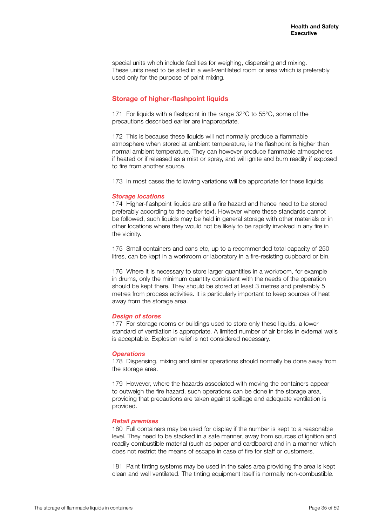special units which include facilities for weighing, dispensing and mixing. These units need to be sited in a well-ventilated room or area which is preferably used only for the purpose of paint mixing.

## **Storage of higher-flashpoint liquids**

171 For liquids with a flashpoint in the range 32°C to 55°C, some of the precautions described earlier are inappropriate.

172 This is because these liquids will not normally produce a flammable atmosphere when stored at ambient temperature, ie the flashpoint is higher than normal ambient temperature. They can however produce flammable atmospheres if heated or if released as a mist or spray, and will ignite and burn readily if exposed to fire from another source.

173 In most cases the following variations will be appropriate for these liquids.

#### *Storage locations*

174 Higher-flashpoint liquids are still a fire hazard and hence need to be stored preferably according to the earlier text. However where these standards cannot be followed, such liquids may be held in general storage with other materials or in other locations where they would not be likely to be rapidly involved in any fire in the vicinity.

175 Small containers and cans etc, up to a recommended total capacity of 250 litres, can be kept in a workroom or laboratory in a fire-resisting cupboard or bin.

176 Where it is necessary to store larger quantities in a workroom, for example in drums, only the minimum quantity consistent with the needs of the operation should be kept there. They should be stored at least 3 metres and preferably 5 metres from process activities. It is particularly important to keep sources of heat away from the storage area.

#### *Design of stores*

177 For storage rooms or buildings used to store only these liquids, a lower standard of ventilation is appropriate. A limited number of air bricks in external walls is acceptable. Explosion relief is not considered necessary.

#### *Operations*

178 Dispensing, mixing and similar operations should normally be done away from the storage area.

179 However, where the hazards associated with moving the containers appear to outweigh the fire hazard, such operations can be done in the storage area, providing that precautions are taken against spillage and adequate ventilation is provided.

#### *Retail premises*

180 Full containers may be used for display if the number is kept to a reasonable level. They need to be stacked in a safe manner, away from sources of ignition and readily combustible material (such as paper and cardboard) and in a manner which does not restrict the means of escape in case of fire for staff or customers.

181 Paint tinting systems may be used in the sales area providing the area is kept clean and well ventilated. The tinting equipment itself is normally non-combustible.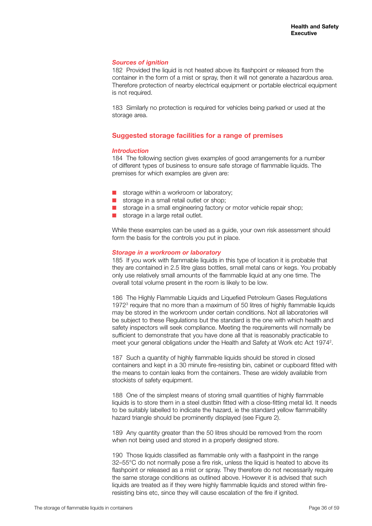#### *Sources of ignition*

182 Provided the liquid is not heated above its flashpoint or released from the container in the form of a mist or spray, then it will not generate a hazardous area. Therefore protection of nearby electrical equipment or portable electrical equipment is not required.

183 Similarly no protection is required for vehicles being parked or used at the storage area.

## **Suggested storage facilities for a range of premises**

#### *Introduction*

184 The following section gives examples of good arrangements for a number of different types of business to ensure safe storage of flammable liquids. The premises for which examples are given are:

- $\blacksquare$  storage within a workroom or laboratory;
- $\blacksquare$  storage in a small retail outlet or shop;
- $\blacksquare$  storage in a small engineering factory or motor vehicle repair shop;
- $\blacksquare$  storage in a large retail outlet.

While these examples can be used as a guide, your own risk assessment should form the basis for the controls you put in place.

#### *Storage in a workroom or laboratory*

185 If you work with flammable liquids in this type of location it is probable that they are contained in 2.5 litre glass bottles, small metal cans or kegs. You probably only use relatively small amounts of the flammable liquid at any one time. The overall total volume present in the room is likely to be low.

186 The Highly Flammable Liquids and Liquefied Petroleum Gases Regulations 1972<sup>3</sup> require that no more than a maximum of 50 litres of highly flammable liquids may be stored in the workroom under certain conditions. Not all laboratories will be subject to these Regulations but the standard is the one with which health and safety inspectors will seek compliance. Meeting the requirements will normally be sufficient to demonstrate that you have done all that is reasonably practicable to meet your general obligations under the Health and Safety at Work etc Act 1974<sup>2</sup>.

187 Such a quantity of highly flammable liquids should be stored in closed containers and kept in a 30 minute fire-resisting bin, cabinet or cupboard fitted with the means to contain leaks from the containers. These are widely available from stockists of safety equipment.

188 One of the simplest means of storing small quantities of highly flammable liquids is to store them in a steel dustbin fitted with a close-fitting metal lid. It needs to be suitably labelled to indicate the hazard, ie the standard yellow flammability hazard triangle should be prominently displayed (see Figure 2).

189 Any quantity greater than the 50 litres should be removed from the room when not being used and stored in a properly designed store.

190 Those liquids classified as flammable only with a flashpoint in the range 32–55°C do not normally pose a fire risk, unless the liquid is heated to above its flashpoint or released as a mist or spray. They therefore do not necessarily require the same storage conditions as outlined above. However it is advised that such liquids are treated as if they were highly flammable liquids and stored within fireresisting bins etc, since they will cause escalation of the fire if ignited.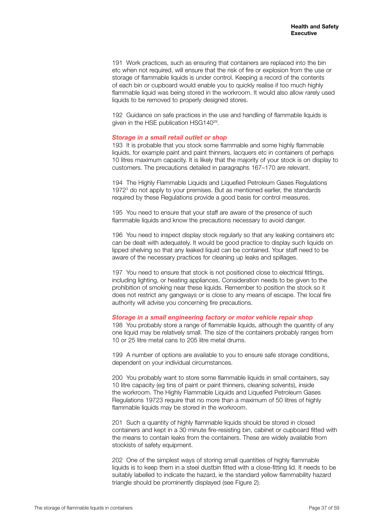191 Work practices, such as ensuring that containers are replaced into the bin etc when not required, will ensure that the risk of fire or explosion from the use or storage of flammable liquids is under control. Keeping a record of the contents of each bin or cupboard would enable you to quickly realise if too much highly flammable liquid was being stored in the workroom. It would also allow rarely used liquids to be removed to properly designed stores.

192 Guidance on safe practices in the use and handling of flammable liquids is given in the HSE publication HSG14029.

#### *Storage in a small retail outlet or shop*

193 It is probable that you stock some flammable and some highly flammable liquids, for example paint and paint thinners, lacquers etc in containers of perhaps 10 litres maximum capacity. It is likely that the majority of your stock is on display to customers. The precautions detailed in paragraphs 167–170 are relevant.

194 The Highly Flammable Liquids and Liquefied Petroleum Gases Regulations 19723 do not apply to your premises. But as mentioned earlier, the standards required by these Regulations provide a good basis for control measures.

195 You need to ensure that your staff are aware of the presence of such flammable liquids and know the precautions necessary to avoid danger.

196 You need to inspect display stock regularly so that any leaking containers etc can be dealt with adequately. It would be good practice to display such liquids on lipped shelving so that any leaked liquid can be contained. Your staff need to be aware of the necessary practices for cleaning up leaks and spillages.

197 You need to ensure that stock is not positioned close to electrical fittings, including lighting, or heating appliances. Consideration needs to be given to the prohibition of smoking near these liquids. Remember to position the stock so it does not restrict any gangways or is close to any means of escape. The local fire authority will advise you concerning fire precautions.

#### *Storage in a small engineering factory or motor vehicle repair shop*

198 You probably store a range of flammable liquids, although the quantity of any one liquid may be relatively small. The size of the containers probably ranges from 10 or 25 litre metal cans to 205 litre metal drums.

199 A number of options are available to you to ensure safe storage conditions, dependent on your individual circumstances.

200 You probably want to store some flammable liquids in small containers, say 10 litre capacity (eg tins of paint or paint thinners, cleaning solvents), inside the workroom. The Highly Flammable Liquids and Liquefied Petroleum Gases Regulations 19723 require that no more than a maximum of 50 litres of highly flammable liquids may be stored in the workroom.

201 Such a quantity of highly flammable liquids should be stored in closed containers and kept in a 30 minute fire-resisting bin, cabinet or cupboard fitted with the means to contain leaks from the containers. These are widely available from stockists of safety equipment.

202 One of the simplest ways of storing small quantities of highly flammable liquids is to keep them in a steel dustbin fitted with a close-fitting lid. It needs to be suitably labelled to indicate the hazard, ie the standard yellow flammability hazard triangle should be prominently displayed (see Figure 2).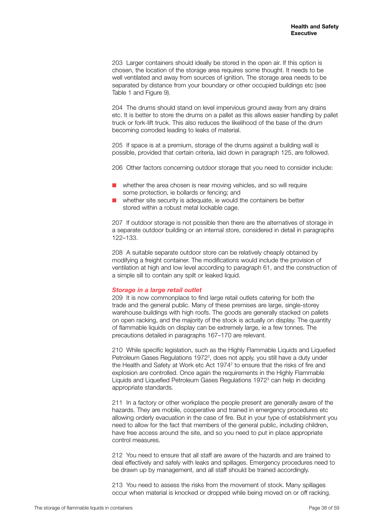203 Larger containers should ideally be stored in the open air. If this option is chosen, the location of the storage area requires some thought. It needs to be well ventilated and away from sources of ignition. The storage area needs to be separated by distance from your boundary or other occupied buildings etc (see Table 1 and Figure 9).

204 The drums should stand on level impervious ground away from any drains etc. It is better to store the drums on a pallet as this allows easier handling by pallet truck or fork-lift truck. This also reduces the likelihood of the base of the drum becoming corroded leading to leaks of material.

205 If space is at a premium, storage of the drums against a building wall is possible, provided that certain criteria, laid down in paragraph 125, are followed.

206 Other factors concerning outdoor storage that you need to consider include:

- $\blacksquare$  whether the area chosen is near moving vehicles, and so will require some protection, ie bollards or fencing; and
- $\blacksquare$  whether site security is adequate, ie would the containers be better stored within a robust metal lockable cage.

207 If outdoor storage is not possible then there are the alternatives of storage in a separate outdoor building or an internal store, considered in detail in paragraphs 122–133.

208 A suitable separate outdoor store can be relatively cheaply obtained by modifying a freight container. The modifications would include the provision of ventilation at high and low level according to paragraph 61, and the construction of a simple sill to contain any spilt or leaked liquid.

#### *Storage in a large retail outlet*

209 It is now commonplace to find large retail outlets catering for both the trade and the general public. Many of these premises are large, single-storey warehouse buildings with high roofs. The goods are generally stacked on pallets on open racking, and the majority of the stock is actually on display. The quantity of flammable liquids on display can be extremely large, ie a few tonnes. The precautions detailed in paragraphs 167–170 are relevant.

210 While specific legislation, such as the Highly Flammable Liquids and Liquefied Petroleum Gases Regulations 1972<sup>3</sup>, does not apply, you still have a duty under the Health and Safety at Work etc Act 1974<sup>2</sup> to ensure that the risks of fire and explosion are controlled. Once again the requirements in the Highly Flammable Liquids and Liquefied Petroleum Gases Regulations 1972<sup>3</sup> can help in deciding appropriate standards.

211 In a factory or other workplace the people present are generally aware of the hazards. They are mobile, cooperative and trained in emergency procedures etc allowing orderly evacuation in the case of fire. But in your type of establishment you need to allow for the fact that members of the general public, including children, have free access around the site, and so you need to put in place appropriate control measures.

212 You need to ensure that all staff are aware of the hazards and are trained to deal effectively and safely with leaks and spillages. Emergency procedures need to be drawn up by management, and all staff should be trained accordingly.

213 You need to assess the risks from the movement of stock. Many spillages occur when material is knocked or dropped while being moved on or off racking.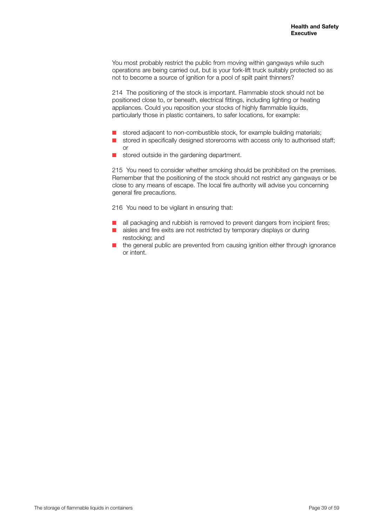You most probably restrict the public from moving within gangways while such operations are being carried out, but is your fork-lift truck suitably protected so as not to become a source of ignition for a pool of spilt paint thinners?

214 The positioning of the stock is important. Flammable stock should not be positioned close to, or beneath, electrical fittings, including lighting or heating appliances. Could you reposition your stocks of highly flammable liquids, particularly those in plastic containers, to safer locations, for example:

- stored adjacent to non-combustible stock, for example building materials;
- stored in specifically designed storerooms with access only to authorised staff; or
- stored outside in the gardening department.

215 You need to consider whether smoking should be prohibited on the premises. Remember that the positioning of the stock should not restrict any gangways or be close to any means of escape. The local fire authority will advise you concerning general fire precautions.

216 You need to be vigilant in ensuring that:

- all packaging and rubbish is removed to prevent dangers from incipient fires;
- aisles and fire exits are not restricted by temporary displays or during restocking; and
- the general public are prevented from causing ignition either through ignorance or intent.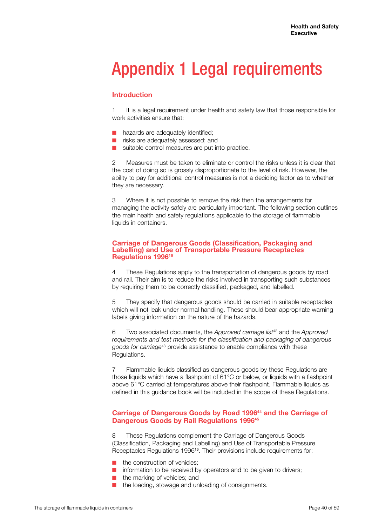## Appendix 1 Legal requirements

## **Introduction**

It is a legal requirement under health and safety law that those responsible for work activities ensure that:

- nazards are adequately identified;
- $\blacksquare$  risks are adequately assessed; and
- $\blacksquare$  suitable control measures are put into practice.

2 Measures must be taken to eliminate or control the risks unless it is clear that the cost of doing so is grossly disproportionate to the level of risk. However, the ability to pay for additional control measures is not a deciding factor as to whether they are necessary.

3 Where it is not possible to remove the risk then the arrangements for managing the activity safely are particularly important. The following section outlines the main health and safety regulations applicable to the storage of flammable liquids in containers.

### **Carriage of Dangerous Goods (Classification, Packaging and Labelling) and Use of Transportable Pressure Receptacles Regulations 199616**

4 These Regulations apply to the transportation of dangerous goods by road and rail. Their aim is to reduce the risks involved in transporting such substances by requiring them to be correctly classified, packaged, and labelled.

5 They specify that dangerous goods should be carried in suitable receptacles which will not leak under normal handling. These should bear appropriate warning labels giving information on the nature of the hazards.

6 Two associated documents, the *Approved carriage list*42 and the *Approved requirements and test methods for the classification and packaging of dangerous goods for carriage*43 provide assistance to enable compliance with these Regulations.

7 Flammable liquids classified as dangerous goods by these Regulations are those liquids which have a flashpoint of 61°C or below, or liquids with a flashpoint above 61°C carried at temperatures above their flashpoint. Flammable liquids as defined in this guidance book will be included in the scope of these Regulations.

## **Carriage of Dangerous Goods by Road 199644 and the Carriage of Dangerous Goods by Rail Regulations 199645**

8 These Regulations complement the Carriage of Dangerous Goods (Classification, Packaging and Labelling) and Use of Transportable Pressure Receptacles Regulations 1996<sup>16</sup>. Their provisions include requirements for:

- the construction of vehicles:
- $\blacksquare$  information to be received by operators and to be given to drivers;
- $\blacksquare$  the marking of vehicles; and
- the loading, stowage and unloading of consignments.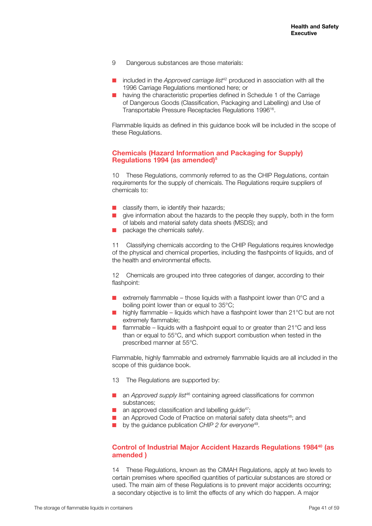- 9 Dangerous substances are those materials:
- included in the *Approved carriage list<sup>42</sup>* produced in association with all the 1996 Carriage Regulations mentioned here; or
- $\blacksquare$  having the characteristic properties defined in Schedule 1 of the Carriage of Dangerous Goods (Classification, Packaging and Labelling) and Use of Transportable Pressure Receptacles Regulations 199616.

Flammable liquids as defined in this guidance book will be included in the scope of these Regulations.

### **Chemicals (Hazard Information and Packaging for Supply) Regulations 1994 (as amended)5**

10 These Regulations, commonly referred to as the CHIP Regulations, contain requirements for the supply of chemicals. The Regulations require suppliers of chemicals to:

- classify them, ie identify their hazards;
- give information about the hazards to the people they supply, both in the form of labels and material safety data sheets (MSDS); and
- package the chemicals safely.

11 Classifying chemicals according to the CHIP Regulations requires knowledge of the physical and chemical properties, including the flashpoints of liquids, and of the health and environmental effects.

12 Chemicals are grouped into three categories of danger, according to their flashpoint:

- **n** extremely flammable those liquids with a flashpoint lower than  $0^{\circ}$ C and a boiling point lower than or equal to 35°C;
- nighly flammable liquids which have a flashpoint lower than  $21^{\circ}$ C but are not extremely flammable;
- $\blacksquare$  flammable liquids with a flashpoint equal to or greater than 21°C and less than or equal to 55°C, and which support combustion when tested in the prescribed manner at 55°C.

Flammable, highly flammable and extremely flammable liquids are all included in the scope of this quidance book.

- 13 The Regulations are supported by:
- **n** an *Approved supply list<sup>46</sup>* containing agreed classifications for common substances;
- $\blacksquare$  an approved classification and labelling quide<sup>47</sup>;
- $\blacksquare$  an Approved Code of Practice on material safety data sheets<sup>48</sup>; and
- by the guidance publication *CHIP 2 for everyone*<sup>49</sup>.

## **Control of Industrial Major Accident Hazards Regulations 1984<sup>40</sup> (as amended )**

14 These Regulations, known as the CIMAH Regulations, apply at two levels to certain premises where specified quantities of particular substances are stored or used. The main aim of these Regulations is to prevent major accidents occurring; a secondary objective is to limit the effects of any which do happen. A major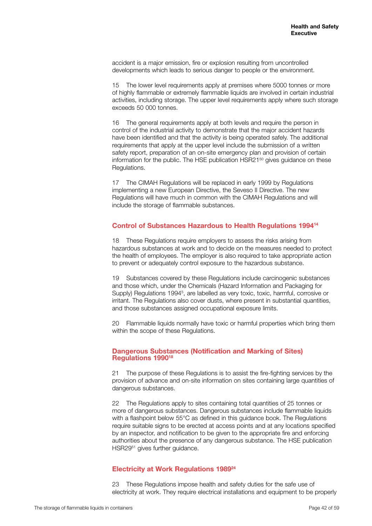accident is a major emission, fire or explosion resulting from uncontrolled developments which leads to serious danger to people or the environment.

15 The lower level requirements apply at premises where 5000 tonnes or more of highly flammable or extremely flammable liquids are involved in certain industrial activities, including storage. The upper level requirements apply where such storage exceeds 50 000 tonnes.

16 The general requirements apply at both levels and require the person in control of the industrial activity to demonstrate that the major accident hazards have been identified and that the activity is being operated safely. The additional requirements that apply at the upper level include the submission of a written safety report, preparation of an on-site emergency plan and provision of certain information for the public. The HSE publication HSR21<sup>50</sup> gives guidance on these Regulations.

17 The CIMAH Regulations will be replaced in early 1999 by Regulations implementing a new European Directive, the Seveso II Directive. The new Regulations will have much in common with the CIMAH Regulations and will include the storage of flammable substances.

## **Control of Substances Hazardous to Health Regulations 199414**

18 These Regulations require employers to assess the risks arising from hazardous substances at work and to decide on the measures needed to protect the health of employees. The employer is also required to take appropriate action to prevent or adequately control exposure to the hazardous substance.

19 Substances covered by these Regulations include carcinogenic substances and those which, under the Chemicals (Hazard Information and Packaging for Supply) Regulations 1994<sup>5</sup>, are labelled as very toxic, toxic, harmful, corrosive or irritant. The Regulations also cover dusts, where present in substantial quantities, and those substances assigned occupational exposure limits.

20 Flammable liquids normally have toxic or harmful properties which bring them within the scope of these Regulations.

#### **Dangerous Substances (Notification and Marking of Sites) Regulations 199018**

21 The purpose of these Regulations is to assist the fire-fighting services by the provision of advance and on-site information on sites containing large quantities of dangerous substances.

22 The Regulations apply to sites containing total quantities of 25 tonnes or more of dangerous substances. Dangerous substances include flammable liquids with a flashpoint below 55°C as defined in this guidance book. The Regulations require suitable signs to be erected at access points and at any locations specified by an inspector, and notification to be given to the appropriate fire and enforcing authorities about the presence of any dangerous substance. The HSE publication HSR29<sup>51</sup> gives further guidance.

## **Electricity at Work Regulations 198924**

23 These Regulations impose health and safety duties for the safe use of electricity at work. They require electrical installations and equipment to be properly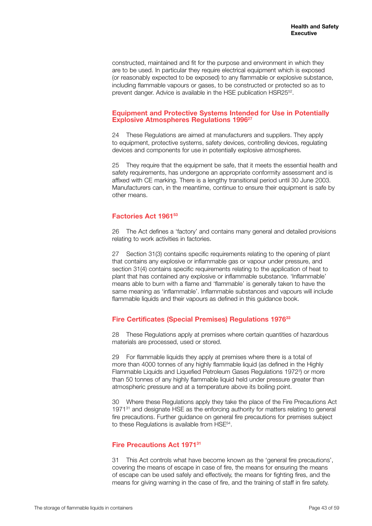constructed, maintained and fit for the purpose and environment in which they are to be used. In particular they require electrical equipment which is exposed (or reasonably expected to be exposed) to any flammable or explosive substance, including flammable vapours or gases, to be constructed or protected so as to prevent danger. Advice is available in the HSE publication HSR25<sup>52</sup>.

## **Equipment and Protective Systems Intended for Use in Potentially Explosive Atmospheres Regulations 1996<sup>27</sup>**

24 These Regulations are aimed at manufacturers and suppliers. They apply to equipment, protective systems, safety devices, controlling devices, regulating devices and components for use in potentially explosive atmospheres.

25 They require that the equipment be safe, that it meets the essential health and safety requirements, has undergone an appropriate conformity assessment and is affixed with CE marking. There is a lengthy transitional period until 30 June 2003. Manufacturers can, in the meantime, continue to ensure their equipment is safe by other means.

## **Factories Act 196153**

26 The Act defines a 'factory' and contains many general and detailed provisions relating to work activities in factories.

27 Section 31(3) contains specific requirements relating to the opening of plant that contains any explosive or inflammable gas or vapour under pressure, and section 31(4) contains specific requirements relating to the application of heat to plant that has contained any explosive or inflammable substance. 'Inflammable' means able to burn with a flame and 'flammable' is generally taken to have the same meaning as 'inflammable'. Inflammable substances and vapours will include flammable liquids and their vapours as defined in this guidance book.

## **Fire Certificates (Special Premises) Regulations 197633**

28 These Regulations apply at premises where certain quantities of hazardous materials are processed, used or stored.

29 For flammable liquids they apply at premises where there is a total of more than 4000 tonnes of any highly flammable liquid (as defined in the Highly Flammable Liquids and Liquefied Petroleum Gases Regulations 1972<sup>3</sup>) or more than 50 tonnes of any highly flammable liquid held under pressure greater than atmospheric pressure and at a temperature above its boiling point.

30 Where these Regulations apply they take the place of the Fire Precautions Act 1971<sup>31</sup> and designate HSE as the enforcing authority for matters relating to general fire precautions. Further guidance on general fire precautions for premises subject to these Regulations is available from HSE<sup>54</sup>.

## **Fire Precautions Act 197131**

31 This Act controls what have become known as the 'general fire precautions', covering the means of escape in case of fire, the means for ensuring the means of escape can be used safely and effectively, the means for fighting fires, and the means for giving warning in the case of fire, and the training of staff in fire safety.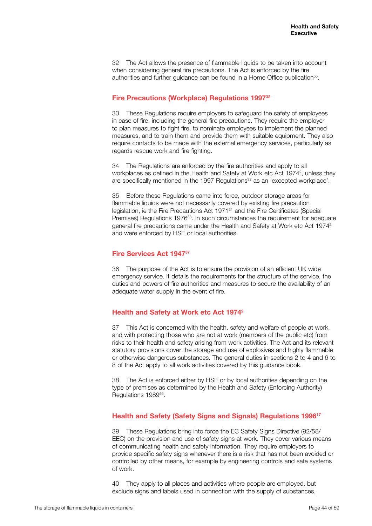32 The Act allows the presence of flammable liquids to be taken into account when considering general fire precautions. The Act is enforced by the fire authorities and further guidance can be found in a Home Office publication<sup>55</sup>.

## **Fire Precautions (Workplace) Regulations 199732**

33 These Regulations require employers to safeguard the safety of employees in case of fire, including the general fire precautions. They require the employer to plan measures to fight fire, to nominate employees to implement the planned measures, and to train them and provide them with suitable equipment. They also require contacts to be made with the external emergency services, particularly as regards rescue work and fire fighting.

34 The Regulations are enforced by the fire authorities and apply to all workplaces as defined in the Health and Safety at Work etc Act 1974<sup>2</sup>, unless they are specifically mentioned in the 1997 Regulations<sup>32</sup> as an 'excepted workplace'.

35 Before these Regulations came into force, outdoor storage areas for flammable liquids were not necessarily covered by existing fire precaution legislation, ie the Fire Precautions Act 197131 and the Fire Certificates (Special Premises) Regulations 1976<sup>33</sup>. In such circumstances the requirement for adequate general fire precautions came under the Health and Safety at Work etc Act 19742 and were enforced by HSE or local authorities.

## **Fire Services Act 194737**

36 The purpose of the Act is to ensure the provision of an efficient UK wide emergency service. It details the requirements for the structure of the service, the duties and powers of fire authorities and measures to secure the availability of an adequate water supply in the event of fire.

## **Health and Safety at Work etc Act 19742**

37 This Act is concerned with the health, safety and welfare of people at work, and with protecting those who are not at work (members of the public etc) from risks to their health and safety arising from work activities. The Act and its relevant statutory provisions cover the storage and use of explosives and highly flammable or otherwise dangerous substances. The general duties in sections 2 to 4 and 6 to 8 of the Act apply to all work activities covered by this guidance book.

38 The Act is enforced either by HSE or by local authorities depending on the type of premises as determined by the Health and Safety (Enforcing Authority) Regulations 1989<sup>56</sup>.

## **Health and Safety (Safety Signs and Signals) Regulations 199617**

39 These Regulations bring into force the EC Safety Signs Directive (92/58/ EEC) on the provision and use of safety signs at work. They cover various means of communicating health and safety information. They require employers to provide specific safety signs whenever there is a risk that has not been avoided or controlled by other means, for example by engineering controls and safe systems of work.

40 They apply to all places and activities where people are employed, but exclude signs and labels used in connection with the supply of substances,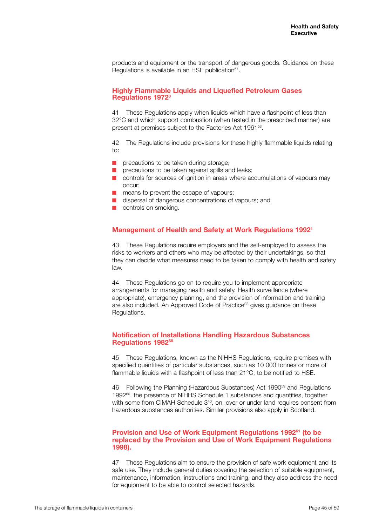products and equipment or the transport of dangerous goods. Guidance on these Regulations is available in an HSE publication<sup>57</sup>.

## **Highly Flammable Liquids and Liquefied Petroleum Gases Regulations 19723**

41 These Regulations apply when liquids which have a flashpoint of less than 32°C and which support combustion (when tested in the prescribed manner) are present at premises subject to the Factories Act 196153.

42 The Regulations include provisions for these highly flammable liquids relating to:

- $\blacksquare$  precautions to be taken during storage;
- $\blacksquare$  precautions to be taken against spills and leaks;
- $\Box$  controls for sources of ignition in areas where accumulations of vapours may occur;
- $\blacksquare$  means to prevent the escape of vapours;
- $\blacksquare$  dispersal of dangerous concentrations of vapours; and
- $\blacksquare$  controls on smoking.

## **Management of Health and Safety at Work Regulations 19921**

43 These Regulations require employers and the self-employed to assess the risks to workers and others who may be affected by their undertakings, so that they can decide what measures need to be taken to comply with health and safety law.

44 These Regulations go on to require you to implement appropriate arrangements for managing health and safety. Health surveillance (where appropriate), emergency planning, and the provision of information and training are also included. An Approved Code of Practice<sup>22</sup> gives guidance on these Regulations.

## **Notification of Installations Handling Hazardous Substances Regulations 198258**

45 These Regulations, known as the NIHHS Regulations, require premises with specified quantities of particular substances, such as 10 000 tonnes or more of flammable liquids with a flashpoint of less than 21°C, to be notified to HSE.

46 Following the Planning (Hazardous Substances) Act 199059 and Regulations 1992<sup>60</sup>, the presence of NIHHS Schedule 1 substances and quantities, together with some from CIMAH Schedule 3<sup>40</sup>, on, over or under land requires consent from hazardous substances authorities. Similar provisions also apply in Scotland.

## **Provision and Use of Work Equipment Regulations 199261 (to be replaced by the Provision and Use of Work Equipment Regulations 1998).**

47 These Regulations aim to ensure the provision of safe work equipment and its safe use. They include general duties covering the selection of suitable equipment, maintenance, information, instructions and training, and they also address the need for equipment to be able to control selected hazards.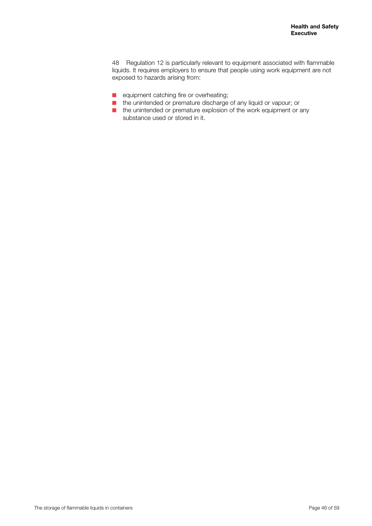48 Regulation 12 is particularly relevant to equipment associated with flammable liquids. It requires employers to ensure that people using work equipment are not exposed to hazards arising from:

- **n** equipment catching fire or overheating;
- the unintended or premature discharge of any liquid or vapour; or
- $\blacksquare$  the unintended or premature explosion of the work equipment or any substance used or stored in it.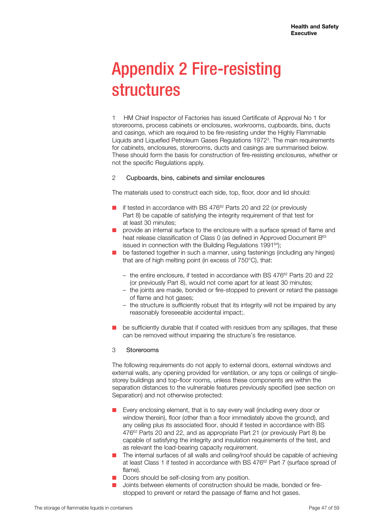## Appendix 2 Fire-resisting structures

1 HM Chief Inspector of Factories has issued Certificate of Approval No 1 for storerooms, process cabinets or enclosures, workrooms, cupboards, bins, ducts and casings, which are required to be fire-resisting under the Highly Flammable Liquids and Liquefied Petroleum Gases Regulations 19723 . The main requirements for cabinets, enclosures, storerooms, ducts and casings are summarised below. These should form the basis for construction of fire-resisting enclosures, whether or not the specific Regulations apply.

## 2 Cupboards, bins, cabinets and similar enclosures

The materials used to construct each side, top, floor, door and lid should:

- $\blacksquare$  if tested in accordance with BS 476 $^{62}$  Parts 20 and 22 (or previously Part 8) be capable of satisfying the integrity requirement of that test for at least 30 minutes;
- $\Box$  provide an internal surface to the enclosure with a surface spread of flame and heat release classification of Class 0 (as defined in Approved Document B<sup>63</sup> issued in connection with the Building Regulations 1991<sup>64</sup>);
- $\blacksquare$  be fastened together in such a manner, using fastenings (including any hinges) that are of high melting point (in excess of 750°C), that:
	- the entire enclosure, if tested in accordance with BS  $476^{62}$  Parts 20 and 22 (or previously Part 8), would not come apart for at least 30 minutes;
	- the joints are made, bonded or fire-stopped to prevent or retard the passage of flame and hot gases;
	- the structure is sufficiently robust that its integrity will not be impaired by any reasonably foreseeable accidental impact;.
- be sufficiently durable that if coated with residues from any spillages, that these can be removed without impairing the structure's fire resistance.

#### 3 Storerooms

The following requirements do not apply to external doors, external windows and external walls, any opening provided for ventilation, or any tops or ceilings of singlestorey buildings and top-floor rooms, unless these components are within the separation distances to the vulnerable features previously specified (see section on Separation) and not otherwise protected:

- Every enclosing element, that is to say every wall (including every door or window therein), floor (other than a floor immediately above the ground), and any ceiling plus its associated floor, should if tested in accordance with BS 476<sup>62</sup> Parts 20 and 22, and as appropriate Part 21 (or previously Part 8) be capable of satisfying the integrity and insulation requirements of the test, and as relevant the load-bearing capacity requirement.
- $\blacksquare$  The internal surfaces of all walls and ceiling/roof should be capable of achieving at least Class 1 if tested in accordance with BS 476<sup>62</sup> Part 7 (surface spread of flame).
- $\blacksquare$  Doors should be self-closing from any position.
- Joints between elements of construction should be made, bonded or firestopped to prevent or retard the passage of flame and hot gases.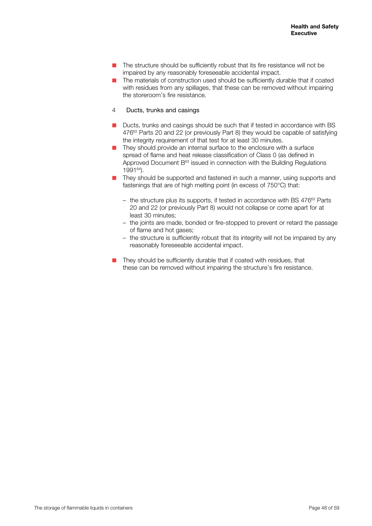- $\blacksquare$  The structure should be sufficiently robust that its fire resistance will not be impaired by any reasonably foreseeable accidental impact.
- The materials of construction used should be sufficiently durable that if coated with residues from any spillages, that these can be removed without impairing the storeroom's fire resistance.
- 4 Ducts, trunks and casings
- Ducts, trunks and casings should be such that if tested in accordance with BS 476<sup>62</sup> Parts 20 and 22 (or previously Part 8) they would be capable of satisfying the integrity requirement of that test for at least 30 minutes.
- $\blacksquare$  They should provide an internal surface to the enclosure with a surface spread of flame and heat release classification of Class 0 (as defined in Approved Document  $B<sup>63</sup>$  issued in connection with the Building Regulations 199164).
- They should be supported and fastened in such a manner, using supports and fastenings that are of high melting point (in excess of 750°C) that:
	- $-$  the structure plus its supports, if tested in accordance with BS 476 $^{62}$  Parts 20 and 22 (or previously Part 8) would not collapse or come apart for at least 30 minutes;
	- the joints are made, bonded or fire-stopped to prevent or retard the passage of flame and hot gases;
	- the structure is sufficiently robust that its integrity will not be impaired by any reasonably foreseeable accidental impact.
- They should be sufficiently durable that if coated with residues, that these can be removed without impairing the structure's fire resistance.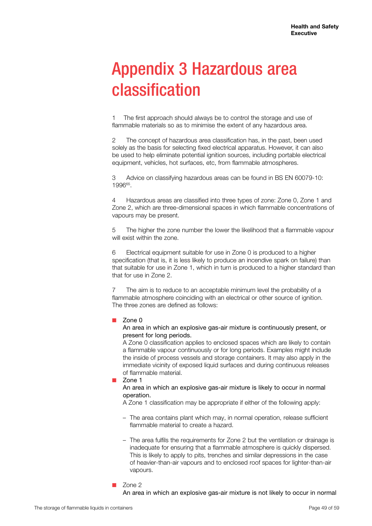## Appendix 3 Hazardous area classification

1 The first approach should always be to control the storage and use of flammable materials so as to minimise the extent of any hazardous area.

2 The concept of hazardous area classification has, in the past, been used solely as the basis for selecting fixed electrical apparatus. However, it can also be used to help eliminate potential ignition sources, including portable electrical equipment, vehicles, hot surfaces, etc, from flammable atmospheres.

3 Advice on classifying hazardous areas can be found in BS EN 60079-10: 199665.

4 Hazardous areas are classified into three types of zone: Zone 0, Zone 1 and Zone 2, which are three-dimensional spaces in which flammable concentrations of vapours may be present.

5 The higher the zone number the lower the likelihood that a flammable vapour will exist within the zone.

6 Electrical equipment suitable for use in Zone 0 is produced to a higher specification (that is, it is less likely to produce an incendive spark on failure) than that suitable for use in Zone 1, which in turn is produced to a higher standard than that for use in Zone 2.

7 The aim is to reduce to an acceptable minimum level the probability of a flammable atmosphere coinciding with an electrical or other source of ignition. The three zones are defined as follows:

 $Z$ one 0

An area in which an explosive gas-air mixture is continuously present, or present for long periods.

A Zone 0 classification applies to enclosed spaces which are likely to contain a flammable vapour continuously or for long periods. Examples might include the inside of process vessels and storage containers. It may also apply in the immediate vicinity of exposed liquid surfaces and during continuous releases of flammable material.

Zone 1

An area in which an explosive gas-air mixture is likely to occur in normal operation.

A Zone 1 classification may be appropriate if either of the following apply:

- The area contains plant which may, in normal operation, release sufficient flammable material to create a hazard.
- The area fulfils the requirements for Zone 2 but the ventilation or drainage is inadequate for ensuring that a flammable atmosphere is quickly dispersed. This is likely to apply to pits, trenches and similar depressions in the case of heavier-than-air vapours and to enclosed roof spaces for lighter-than-air vapours.

Zone 2

An area in which an explosive gas-air mixture is not likely to occur in normal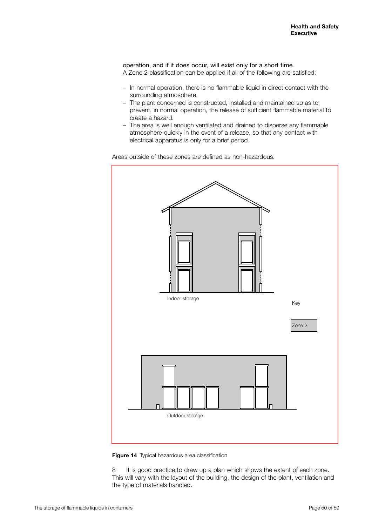operation, and if it does occur, will exist only for a short time. A Zone 2 classification can be applied if all of the following are satisfied:

- In normal operation, there is no flammable liquid in direct contact with the surrounding atmosphere.
- The plant concerned is constructed, installed and maintained so as to prevent, in normal operation, the release of sufficient flammable material to create a hazard.
- The area is well enough ventilated and drained to disperse any flammable atmosphere quickly in the event of a release, so that any contact with electrical apparatus is only for a brief period.

Areas outside of these zones are defined as non-hazardous.



**Figure 14** Typical hazardous area classification

8 It is good practice to draw up a plan which shows the extent of each zone. This will vary with the layout of the building, the design of the plant, ventilation and the type of materials handled.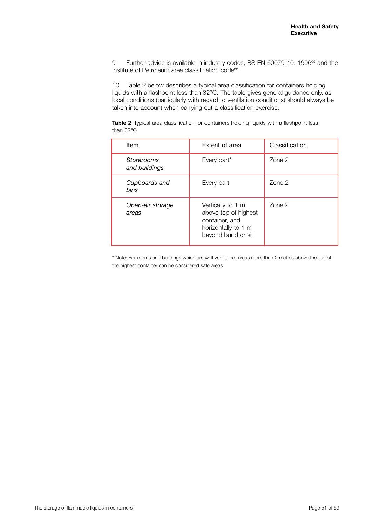9 Further advice is available in industry codes, BS EN 60079-10: 1996<sup>65</sup> and the Institute of Petroleum area classification code<sup>66</sup>.

10 Table 2 below describes a typical area classification for containers holding liquids with a flashpoint less than 32°C. The table gives general guidance only, as local conditions (particularly with regard to ventilation conditions) should always be taken into account when carrying out a classification exercise.

**Table 2** Typical area classification for containers holding liquids with a flashpoint less than 32°C

| Item                        | Extent of area                                                                                            | Classification |
|-----------------------------|-----------------------------------------------------------------------------------------------------------|----------------|
| Storerooms<br>and buildings | Every part*                                                                                               | Zone 2         |
| Cupboards and<br>bins       | Every part                                                                                                | Zone 2         |
| Open-air storage<br>areas   | Vertically to 1 m<br>above top of highest<br>container, and<br>horizontally to 1 m<br>beyond bund or sill | Zone 2         |

\* Note: For rooms and buildings which are well ventilated, areas more than 2 metres above the top of the highest container can be considered safe areas.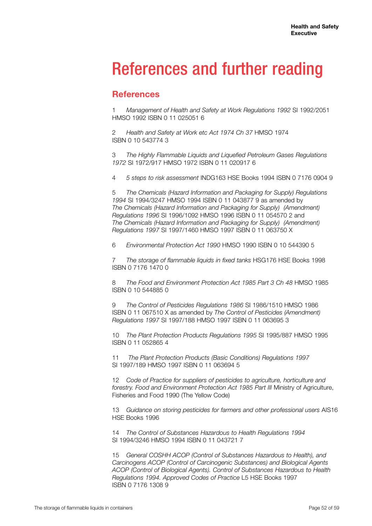## References and further reading

## **References**

1 *Management of Health and Safety at Work Regulations 1992* SI 1992/2051 HMSO 1992 ISBN 0 11 025051 6

2 *Health and Safety at Work etc Act 1974 Ch 37* HMSO 1974 ISBN 0 10 543774 3

3 *The Highly Flammable Liquids and Liquefied Petroleum Gases Regulations 1972* SI 1972/917 HMSO 1972 ISBN 0 11 020917 6

4 *5 steps to risk assessment* INDG163 HSE Books 1994 ISBN 0 7176 0904 9

5 *The Chemicals (Hazard Information and Packaging for Supply) Regulations 1994* SI 1994/3247 HMSO 1994 ISBN 0 11 043877 9 as amended by *The Chemicals (Hazard Information and Packaging for Supply) (Amendment) Regulations 1996* SI 1996/1092 HMSO 1996 ISBN 0 11 054570 2 and *The Chemicals (Hazard Information and Packaging for Supply) (Amendment) Regulations 1997* SI 1997/1460 HMSO 1997 ISBN 0 11 063750 X

6 *Environmental Protection Act 1990* HMSO 1990 ISBN 0 10 544390 5

7 *The storage of flammable liquids in fixed tanks* HSG176 HSE Books 1998 ISBN 0 7176 1470 0

8 *The Food and Environment Protection Act 1985 Part 3 Ch 48* HMSO 1985 ISBN 0 10 544885 0

9 *The Control of Pesticides Regulations 1986* SI 1986/1510 HMSO 1986 ISBN 0 11 067510 X as amended by *The Control of Pesticides (Amendment) Regulations 1997* SI 1997/188 HMSO 1997 ISBN 0 11 063695 3

10 *The Plant Protection Products Regulations 1995* SI 1995/887 HMSO 1995 ISBN 0 11 052865 4

11 *The Plant Protection Products (Basic Conditions) Regulations 1997* SI 1997/189 HMSO 1997 ISBN 0 11 063694 5

12 *Code of Practice for suppliers of pesticides to agriculture, horticulture and forestry. Food and Environment Protection Act 1985 Part III* Ministry of Agriculture, Fisheries and Food 1990 (The Yellow Code)

13 *Guidance on storing pesticides for farmers and other professional users* AIS16 HSE Books 1996

14 *The Control of Substances Hazardous to Health Regulations 1994* SI 1994/3246 HMSO 1994 ISBN 0 11 043721 7

15 *General COSHH ACOP (Control of Substances Hazardous to Health), and Carcinogens ACOP (Control of Carcinogenic Substances) and Biological Agents ACOP (Control of Biological Agents). Control of Substances Hazardous to Health Regulations 1994. Approved Codes of Practice* L5 HSE Books 1997 ISBN 0 7176 1308 9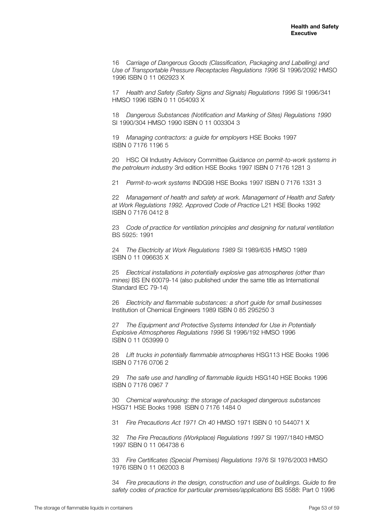16 *Carriage of Dangerous Goods (Classification, Packaging and Labelling) and Use of Transportable Pressure Receptacles Regulations 1996* SI 1996/2092 HMSO 1996 ISBN 0 11 062923 X

17 *Health and Safety (Safety Signs and Signals) Regulations 1996* SI 1996/341 HMSO 1996 ISBN 0 11 054093 X

18 *Dangerous Substances (Notification and Marking of Sites) Regulations 1990*  SI 1990/304 HMSO 1990 ISBN 0 11 003304 3

19 *Managing contractors: a guide for employers* HSE Books 1997 ISBN 0 7176 1196 5

20 HSC Oil Industry Advisory Committee *Guidance on permit-to-work systems in the petroleum industry* 3rd edition HSE Books 1997 ISBN 0 7176 1281 3

21 *Permit-to-work systems* INDG98 HSE Books 1997 ISBN 0 7176 1331 3

22 *Management of health and safety at work. Management of Health and Safety at Work Regulations 1992. Approved Code of Practice* L21 HSE Books 1992 ISBN 0 7176 0412 8

23 *Code of practice for ventilation principles and designing for natural ventilation*  BS 5925: 1991

24 *The Electricity at Work Regulations 1989* SI 1989/635 HMSO 1989 ISBN 0 11 096635 X

25 *Electrical installations in potentially explosive gas atmospheres (other than mines)* BS EN 60079-14 (also published under the same title as International Standard IEC 79-14)

26 *Electricity and flammable substances: a short guide for small businesses*  Institution of Chemical Engineers 1989 ISBN 0 85 295250 3

27 *The Equipment and Protective Systems Intended for Use in Potentially Explosive Atmospheres Regulations 1996* SI 1996/192 HMSO 1996 ISBN 0 11 053999 0

28 *Lift trucks in potentially flammable atmospheres* HSG113 HSE Books 1996 ISBN 0 7176 0706 2

29 *The safe use and handling of flammable liquids* HSG140 HSE Books 1996 ISBN 0 7176 0967 7

30 *Chemical warehousing: the storage of packaged dangerous substances* HSG71 HSE Books 1998 ISBN 0 7176 1484 0

31 *Fire Precautions Act 1971 Ch 40* HMSO 1971 ISBN 0 10 544071 X

32 *The Fire Precautions (Workplace) Regulations 1997* SI 1997/1840 HMSO 1997 ISBN 0 11 064738 6

33 *Fire Certificates (Special Premises) Regulations 1976* SI 1976/2003 HMSO 1976 ISBN 0 11 062003 8

34 *Fire precautions in the design, construction and use of buildings. Guide to fire safety codes of practice for particular premises/applications* BS 5588: Part 0 1996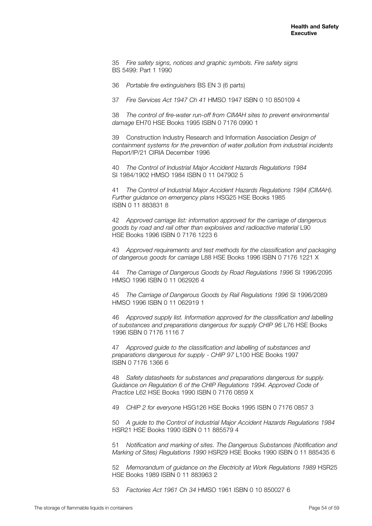35 *Fire safety signs, notices and graphic symbols. Fire safety signs*  BS 5499: Part 1 1990

36 *Portable fire extinguishers* BS EN 3 (6 parts)

37 *Fire Services Act 1947 Ch 41* HMSO 1947 ISBN 0 10 850109 4

38 *The control of fire-water run-off from CIMAH sites to prevent environmental damage* EH70 HSE Books 1995 ISBN 0 7176 0990 1

39 Construction Industry Research and Information Association *Design of containment systems for the prevention of water pollution from industrial incidents* Report/IP/21 CIRIA December 1996

40 *The Control of Industrial Major Accident Hazards Regulations 1984* SI 1984/1902 HMSO 1984 ISBN 0 11 047902 5

41 *The Control of Industrial Major Accident Hazards Regulations 1984 (CIMAH). Further guidance on emergency plans* HSG25 HSE Books 1985 ISBN 0 11 883831 8

42 *Approved carriage list: information approved for the carriage of dangerous goods by road and rail other than explosives and radioactive material* L90 HSE Books 1996 ISBN 0 7176 1223 6

43 *Approved requirements and test methods for the classification and packaging of dangerous goods for carriage* L88 HSE Books 1996 ISBN 0 7176 1221 X

44 *The Carriage of Dangerous Goods by Road Regulations 1996* SI 1996/2095 HMSO 1996 ISBN 0 11 062926 4

45 *The Carriage of Dangerous Goods by Rail Regulations 1996* SI 1996/2089 HMSO 1996 ISBN 0 11 062919 1

46 *Approved supply list. Information approved for the classification and labelling of substances and preparations dangerous for supply CHIP 96* L76 HSE Books 1996 ISBN 0 7176 1116 7

47 *Approved guide to the classification and labelling of substances and preparations dangerous for supply* - *CHIP 97* L100 HSE Books 1997 ISBN 0 7176 1366 6

48 *Safety datasheets for substances and preparations dangerous for supply. Guidance on Regulation 6 of the CHIP Regulations 1994. Approved Code of Practice* L62 HSE Books 1990 ISBN 0 7176 0859 X

49 *CHIP 2 for everyone* HSG126 HSE Books 1995 ISBN 0 7176 0857 3

50 *A guide to the Control of Industrial Major Accident Hazards Regulations 1984* HSR21 HSE Books 1990 ISBN 0 11 885579 4

51 *Notification and marking of sites. The Dangerous Substances (Notification and Marking of Sites) Regulations 1990* HSR29 HSE Books 1990 ISBN 0 11 885435 6

52 *Memorandum of guidance on the Electricity at Work Regulations 1989* HSR25 HSE Books 1989 ISBN 0 11 883963 2

53 *Factories Act 1961 Ch 34* HMSO 1961 ISBN 0 10 850027 6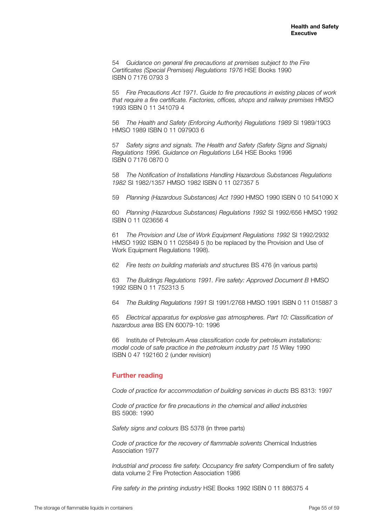54 *Guidance on general fire precautions at premises subject to the Fire Certificates (Special Premises) Regulations 1976* HSE Books 1990 ISBN 0 7176 0793 3

55 *Fire Precautions Act 1971. Guide to fire precautions in existing places of work that require a fire certificate. Factories, offices, shops and railway premises* HMSO 1993 ISBN 0 11 341079 4

56 *The Health and Safety (Enforcing Authority) Regulations 1989* SI 1989/1903 HMSO 1989 ISBN 0 11 097903 6

57 *Safety signs and signals. The Health and Safety (Safety Signs and Signals) Regulations 1996. Guidance on Regulations* L64 HSE Books 1996 ISBN 0 7176 0870 0

58 *The Notification of Installations Handling Hazardous Substances Regulations 1982* SI 1982/1357 HMSO 1982 ISBN 0 11 027357 5

59 *Planning (Hazardous Substances) Act 1990* HMSO 1990 ISBN 0 10 541090 X

60 *Planning (Hazardous Substances) Regulations 1992* SI 1992/656 HMSO 1992 ISBN 0 11 023656 4

61 *The Provision and Use of Work Equipment Regulations 1992* SI 1992/2932 HMSO 1992 ISBN 0 11 025849 5 (to be replaced by the Provision and Use of Work Equipment Regulations 1998).

62 *Fire tests on building materials and structures* BS 476 (in various parts)

63 *The Buildings Regulations 1991. Fire safety: Approved Document B* HMSO 1992 ISBN 0 11 752313 5

64 *The Building Regulations 1991* SI 1991/2768 HMSO 1991 ISBN 0 11 015887 3

65 *Electrical apparatus for explosive gas atmospheres. Part 10: Classification of hazardous area* BS EN 60079-10: 1996

66 Institute of Petroleum *Area classification code for petroleum installations: model code of safe practice in the petroleum industry part 15* Wiley 1990 ISBN 0 47 192160 2 (under revision)

### **Further reading**

*Code of practice for accommodation of building services in ducts* BS 8313: 1997

*Code of practice for fire precautions in the chemical and allied industries* BS 5908: 1990

*Safety signs and colours* BS 5378 (in three parts)

*Code of practice for the recovery of flammable solvents* Chemical Industries Association 1977

*Industrial and process fire safety. Occupancy fire safety* Compendium of fire safety data volume 2 Fire Protection Association 1986

*Fire safety in the printing industry* HSE Books 1992 ISBN 0 11 886375 4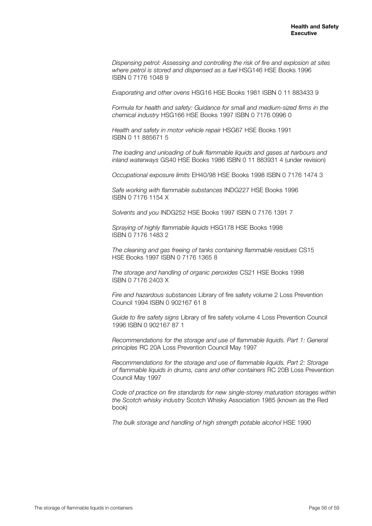*Dispensing petrol: Assessing and controlling the risk of fire and explosion at sites where petrol is stored and dispensed as a fuel* HSG146 HSE Books 1996 ISBN 0 7176 1048 9

*Evaporating and other ovens* HSG16 HSE Books 1981 ISBN 0 11 883433 9

*Formula for health and safety: Guidance for small and medium-sized firms in the chemical industry* HSG166 HSE Books 1997 ISBN 0 7176 0996 0

*Health and safety in motor vehicle repair* HSG67 HSE Books 1991 ISBN 0 11 885671 5

*The loading and unloading of bulk flammable liquids and gases at harbours and inland waterways* GS40 HSE Books 1986 ISBN 0 11 883931 4 (under revision)

*Occupational exposure limits* EH40/98 HSE Books 1998 ISBN 0 7176 1474 3

*Safe working with flammable substances* INDG227 HSE Books 1996 ISBN 0 7176 1154 X

*Solvents and you* INDG252 HSE Books 1997 ISBN 0 7176 1391 7

*Spraying of highly flammable liquids* HSG178 HSE Books 1998 ISBN 0 7176 1483 2

*The cleaning and gas freeing of tanks containing flammable residues* CS15 HSE Books 1997 ISBN 0 7176 1365 8

*The storage and handling of organic peroxides* CS21 HSE Books 1998 ISBN 0 7176 2403 X

*Fire and hazardous substances* Library of fire safety volume 2 Loss Prevention Council 1994 ISBN 0 902167 61 8

*Guide to fire safety signs* Library of fire safety volume 4 Loss Prevention Council 1996 ISBN 0 902167 87 1

*Recommendations for the storage and use of flammable liquids. Part 1: General principles* RC 20A Loss Prevention Council May 1997

*Recommendations for the storage and use of flammable liquids. Part 2: Storage of flammable liquids in drums, cans and other containers* RC 20B Loss Prevention Council May 1997

*Code of practice on fire standards for new single-storey maturation storages within the Scotch whisky industry* Scotch Whisky Association 1985 (known as the Red book)

*The bulk storage and handling of high strength potable alcohol* HSE 1990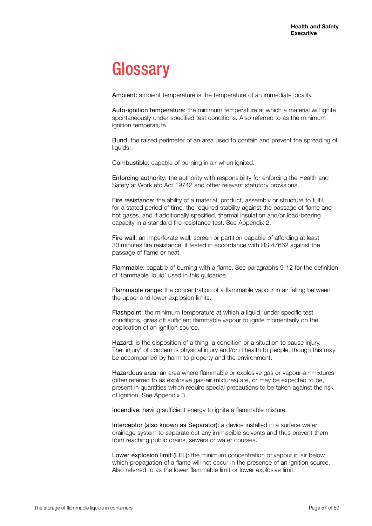## **Glossary**

Ambient: ambient temperature is the temperature of an immediate locality.

Auto-ignition temperature: the minimum temperature at which a material will ignite spontaneously under specified test conditions. Also referred to as the minimum ignition temperature.

Bund: the raised perimeter of an area used to contain and prevent the spreading of liquids.

Combustible: capable of burning in air when ignited.

Enforcing authority: the authority with responsibility for enforcing the Health and Safety at Work etc Act 19742 and other relevant statutory provisions.

Fire resistance: the ability of a material, product, assembly or structure to fulfil, for a stated period of time, the required stability against the passage of flame and hot gases, and if additionally specified, thermal insulation and/or load-bearing capacity in a standard fire resistance test. See Appendix 2.

Fire wall: an imperforate wall, screen or partition capable of affording at least 30 minutes fire resistance, if tested in accordance with BS 47662 against the passage of flame or heat.

Flammable: capable of burning with a flame. See paragraphs 9-12 for the definition of 'flammable liquid' used in this guidance.

Flammable range: the concentration of a flammable vapour in air falling between the upper and lower explosion limits.

Flashpoint: the minimum temperature at which a liquid, under specific test conditions, gives off sufficient flammable vapour to ignite momentarily on the application of an ignition source.

Hazard: is the disposition of a thing, a condition or a situation to cause injury. The 'injury' of concern is physical injury and/or ill health to people, though this may be accompanied by harm to property and the environment.

Hazardous area: an area where flammable or explosive gas or vapour-air mixtures (often referred to as explosive gas-air mixtures) are, or may be expected to be, present in quantities which require special precautions to be taken against the risk of ignition. See Appendix 3.

Incendive: having sufficient energy to ignite a flammable mixture.

Interceptor (also known as Separator): a device installed in a surface water drainage system to separate out any immiscible solvents and thus prevent them from reaching public drains, sewers or water courses.

Lower explosion limit (LEL): the minimum concentration of vapour in air below which propagation of a flame will not occur in the presence of an ignition source. Also referred to as the lower flammable limit or lower explosive limit.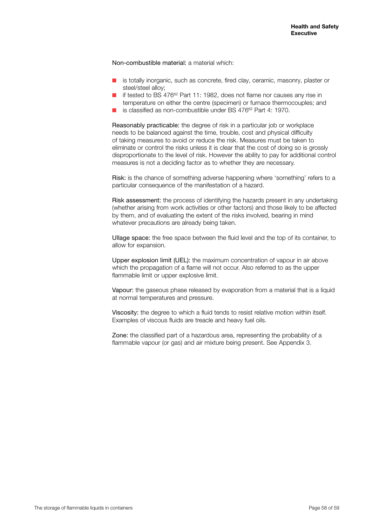Non-combustible material: a material which:

- $\blacksquare$  is totally inorganic, such as concrete, fired clay, ceramic, masonry, plaster or steel/steel alloy;
- $\blacksquare$  if tested to BS 476<sup>62</sup> Part 11: 1982, does not flame nor causes any rise in temperature on either the centre (specimen) or furnace thermocouples; and
- is classified as non-combustible under BS 476<sup>62</sup> Part 4: 1970.

Reasonably practicable: the degree of risk in a particular job or workplace needs to be balanced against the time, trouble, cost and physical difficulty of taking measures to avoid or reduce the risk. Measures must be taken to eliminate or control the risks unless it is clear that the cost of doing so is grossly disproportionate to the level of risk. However the ability to pay for additional control measures is not a deciding factor as to whether they are necessary.

Risk: is the chance of something adverse happening where 'something' refers to a particular consequence of the manifestation of a hazard.

Risk assessment: the process of identifying the hazards present in any undertaking (whether arising from work activities or other factors) and those likely to be affected by them, and of evaluating the extent of the risks involved, bearing in mind whatever precautions are already being taken.

Ullage space: the free space between the fluid level and the top of its container, to allow for expansion.

Upper explosion limit (UEL): the maximum concentration of vapour in air above which the propagation of a flame will not occur. Also referred to as the upper flammable limit or upper explosive limit.

Vapour: the gaseous phase released by evaporation from a material that is a liquid at normal temperatures and pressure.

Viscosity: the degree to which a fluid tends to resist relative motion within itself. Examples of viscous fluids are treacle and heavy fuel oils.

Zone: the classified part of a hazardous area, representing the probability of a flammable vapour (or gas) and air mixture being present. See Appendix 3.